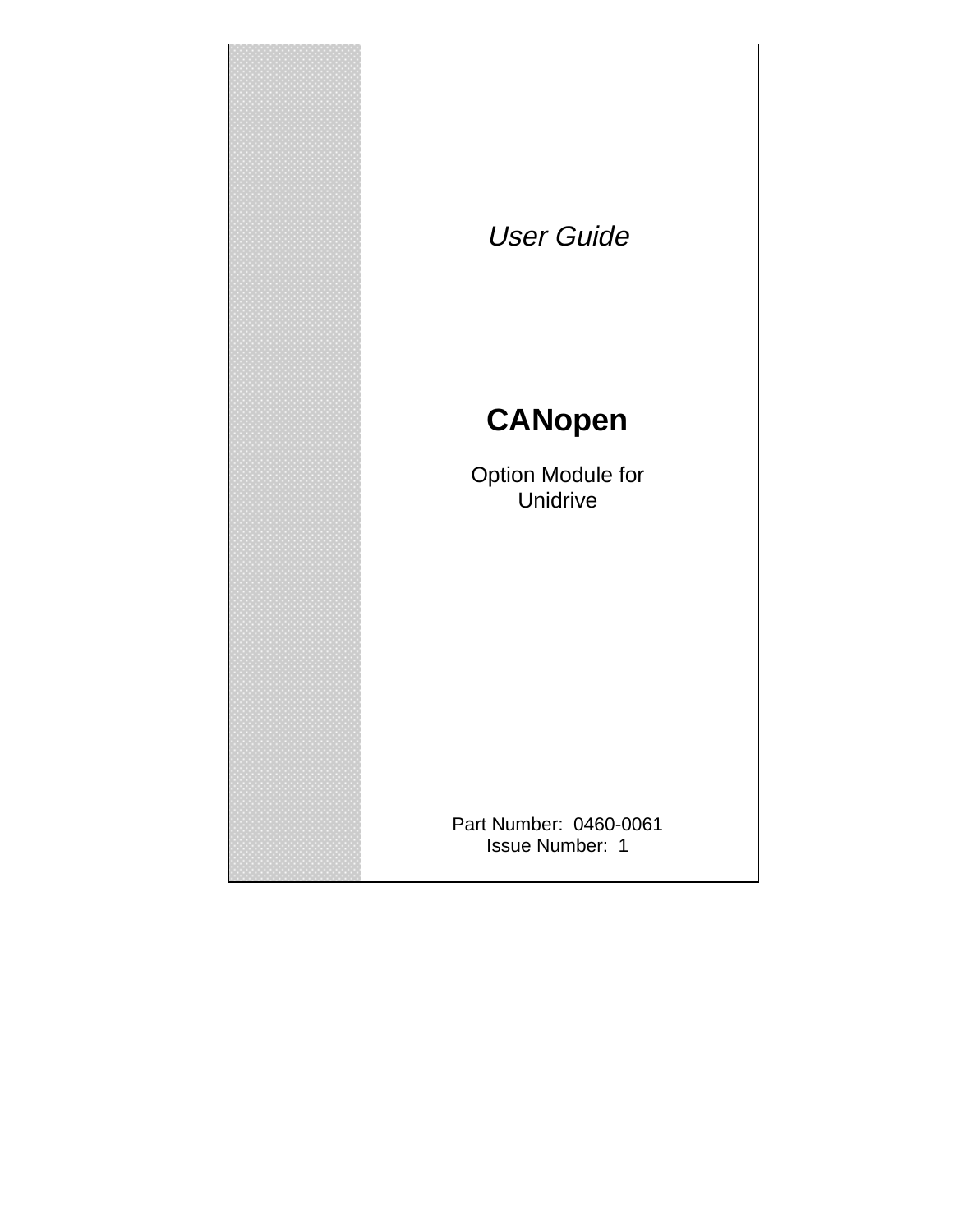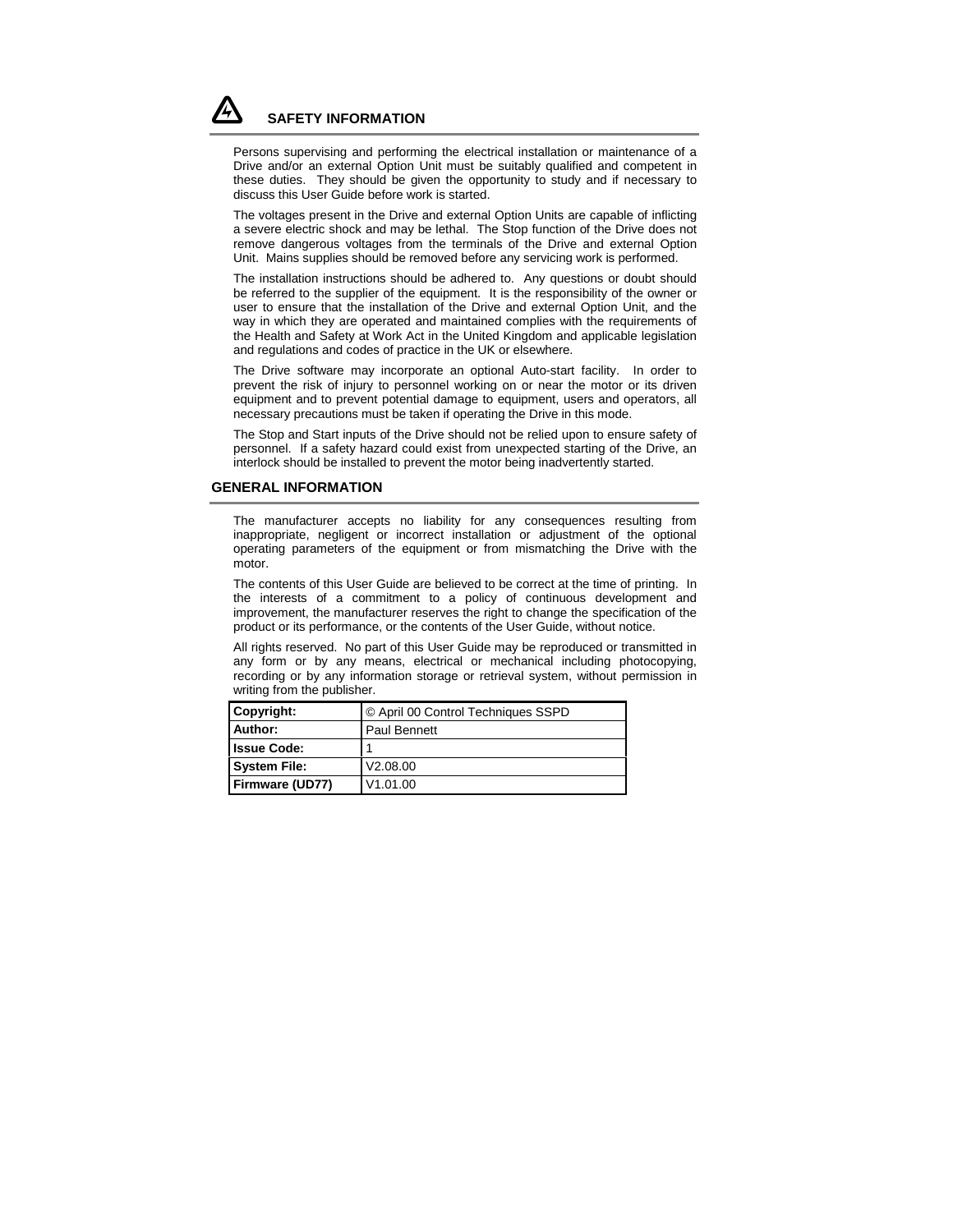# **SAFETY INFORMATION**

Persons supervising and performing the electrical installation or maintenance of a Drive and/or an external Option Unit must be suitably qualified and competent in these duties. They should be given the opportunity to study and if necessary to discuss this User Guide before work is started.

The voltages present in the Drive and external Option Units are capable of inflicting a severe electric shock and may be lethal. The Stop function of the Drive does not remove dangerous voltages from the terminals of the Drive and external Option Unit. Mains supplies should be removed before any servicing work is performed.

The installation instructions should be adhered to. Any questions or doubt should be referred to the supplier of the equipment. It is the responsibility of the owner or user to ensure that the installation of the Drive and external Option Unit, and the way in which they are operated and maintained complies with the requirements of the Health and Safety at Work Act in the United Kingdom and applicable legislation and regulations and codes of practice in the UK or elsewhere.

The Drive software may incorporate an optional Auto-start facility. In order to prevent the risk of injury to personnel working on or near the motor or its driven equipment and to prevent potential damage to equipment, users and operators, all necessary precautions must be taken if operating the Drive in this mode.

The Stop and Start inputs of the Drive should not be relied upon to ensure safety of personnel. If a safety hazard could exist from unexpected starting of the Drive, an interlock should be installed to prevent the motor being inadvertently started.

#### **GENERAL INFORMATION**

The manufacturer accepts no liability for any consequences resulting from inappropriate, negligent or incorrect installation or adjustment of the optional operating parameters of the equipment or from mismatching the Drive with the motor.

The contents of this User Guide are believed to be correct at the time of printing. In the interests of a commitment to a policy of continuous development and improvement, the manufacturer reserves the right to change the specification of the product or its performance, or the contents of the User Guide, without notice.

All rights reserved. No part of this User Guide may be reproduced or transmitted in any form or by any means, electrical or mechanical including photocopying, recording or by any information storage or retrieval system, without permission in writing from the publisher.

| Copyright:          | © April 00 Control Techniques SSPD |  |  |
|---------------------|------------------------------------|--|--|
| Author:             | <b>Paul Bennett</b>                |  |  |
| <b>Issue Code:</b>  |                                    |  |  |
| <b>System File:</b> | V2.08.00                           |  |  |
| Firmware (UD77)     | V1.01.00                           |  |  |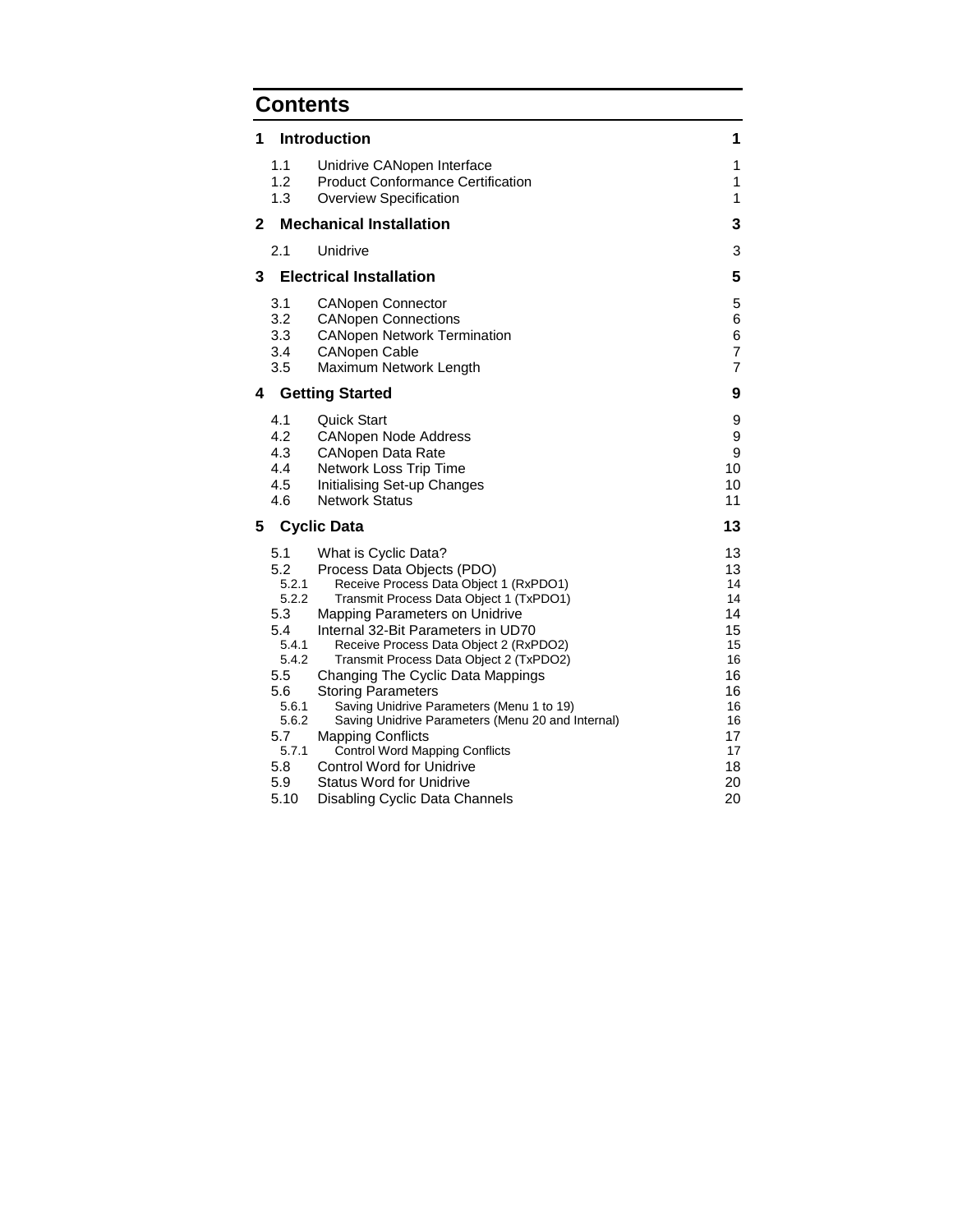# **Contents**

| 1              |                                                                                                                            | <b>Introduction</b>                                                                                                                                                                                                                                                                                                                                                                                                                                                                                                                                                                                                  | 1                                                                                            |
|----------------|----------------------------------------------------------------------------------------------------------------------------|----------------------------------------------------------------------------------------------------------------------------------------------------------------------------------------------------------------------------------------------------------------------------------------------------------------------------------------------------------------------------------------------------------------------------------------------------------------------------------------------------------------------------------------------------------------------------------------------------------------------|----------------------------------------------------------------------------------------------|
|                | 1.1<br>1.2<br>1.3                                                                                                          | Unidrive CANopen Interface<br><b>Product Conformance Certification</b><br>Overview Specification                                                                                                                                                                                                                                                                                                                                                                                                                                                                                                                     | 1<br>1<br>1                                                                                  |
| $\overline{2}$ |                                                                                                                            | <b>Mechanical Installation</b>                                                                                                                                                                                                                                                                                                                                                                                                                                                                                                                                                                                       | 3                                                                                            |
|                | 2.1                                                                                                                        | Unidrive                                                                                                                                                                                                                                                                                                                                                                                                                                                                                                                                                                                                             | 3                                                                                            |
| 3              |                                                                                                                            | <b>Electrical Installation</b>                                                                                                                                                                                                                                                                                                                                                                                                                                                                                                                                                                                       | 5                                                                                            |
|                | 3.1<br>3.2<br>3.3<br>3.4<br>3.5                                                                                            | <b>CANopen Connector</b><br><b>CANopen Connections</b><br><b>CANopen Network Termination</b><br><b>CANopen Cable</b><br>Maximum Network Length                                                                                                                                                                                                                                                                                                                                                                                                                                                                       | 5<br>6<br>6<br>$\overline{7}$<br>$\overline{7}$                                              |
| 4              |                                                                                                                            | <b>Getting Started</b>                                                                                                                                                                                                                                                                                                                                                                                                                                                                                                                                                                                               | 9                                                                                            |
|                | 4.1<br>4.2<br>4.3<br>4.4<br>4.5<br>4.6                                                                                     | <b>Quick Start</b><br><b>CANopen Node Address</b><br><b>CANopen Data Rate</b><br>Network Loss Trip Time<br>Initialising Set-up Changes<br><b>Network Status</b>                                                                                                                                                                                                                                                                                                                                                                                                                                                      | 9<br>9<br>9<br>10<br>10<br>11                                                                |
| 5              |                                                                                                                            | <b>Cyclic Data</b>                                                                                                                                                                                                                                                                                                                                                                                                                                                                                                                                                                                                   | 13                                                                                           |
|                | 5.1<br>5.2<br>5.2.1<br>5.2.2<br>5.3<br>5.4<br>5.4.1<br>5.4.2<br>5.5<br>5.6<br>5.6.1<br>5.6.2<br>5.7<br>5.7.1<br>5.8<br>5.9 | What is Cyclic Data?<br>Process Data Objects (PDO)<br>Receive Process Data Object 1 (RxPDO1)<br>Transmit Process Data Object 1 (TxPDO1)<br>Mapping Parameters on Unidrive<br>Internal 32-Bit Parameters in UD70<br>Receive Process Data Object 2 (RxPDO2)<br>Transmit Process Data Object 2 (TxPDO2)<br>Changing The Cyclic Data Mappings<br><b>Storing Parameters</b><br>Saving Unidrive Parameters (Menu 1 to 19)<br>Saving Unidrive Parameters (Menu 20 and Internal)<br><b>Mapping Conflicts</b><br><b>Control Word Mapping Conflicts</b><br><b>Control Word for Unidrive</b><br><b>Status Word for Unidrive</b> | 13<br>13<br>14<br>14<br>14<br>15<br>15<br>16<br>16<br>16<br>16<br>16<br>17<br>17<br>18<br>20 |
|                | 5.10                                                                                                                       | Disabling Cyclic Data Channels                                                                                                                                                                                                                                                                                                                                                                                                                                                                                                                                                                                       | 20                                                                                           |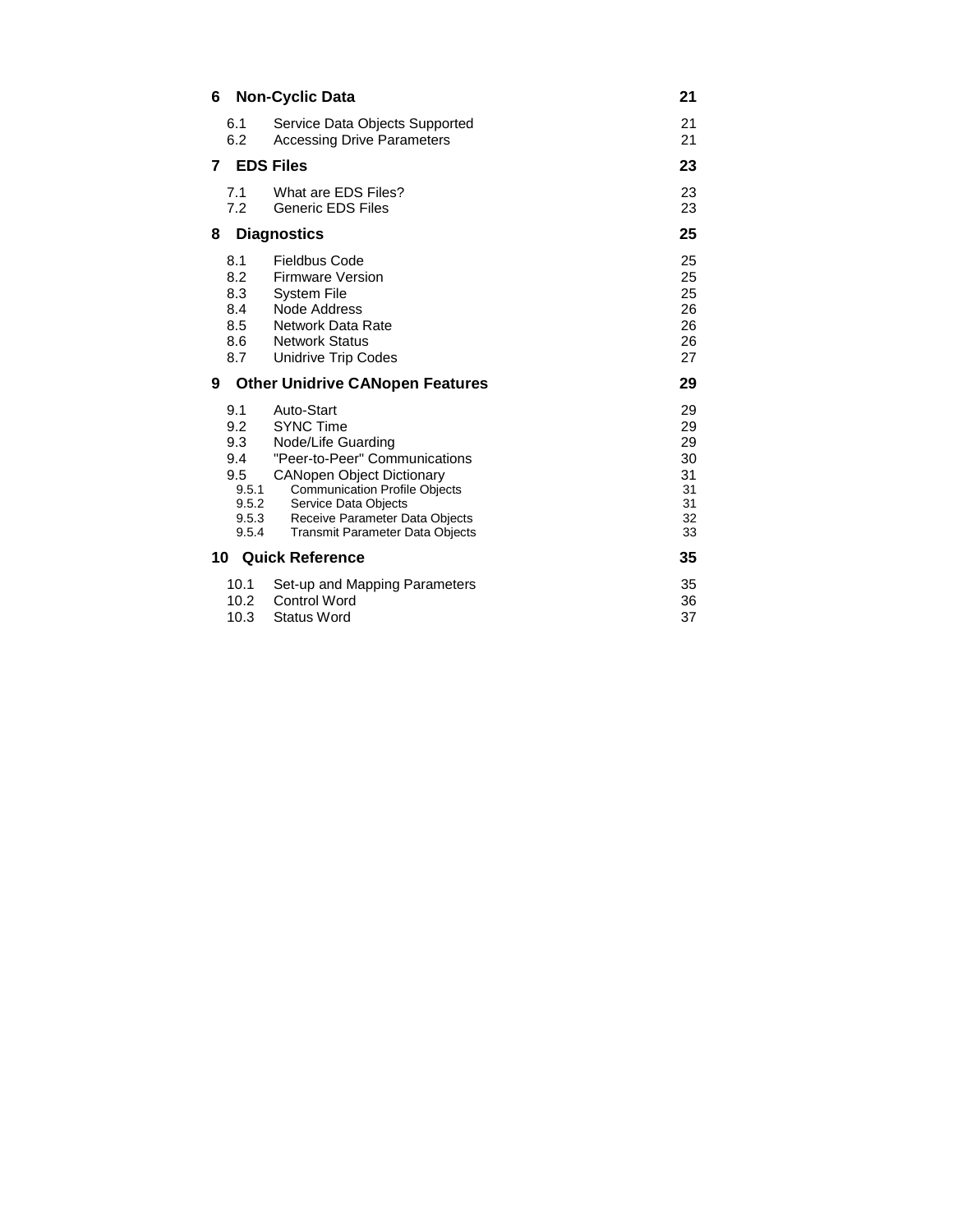| 6  |                                                                     | <b>Non-Cyclic Data</b>                                                                                                                                                                                                                                                | 21                                                 |
|----|---------------------------------------------------------------------|-----------------------------------------------------------------------------------------------------------------------------------------------------------------------------------------------------------------------------------------------------------------------|----------------------------------------------------|
|    | 6.1<br>6.2                                                          | Service Data Objects Supported<br><b>Accessing Drive Parameters</b>                                                                                                                                                                                                   | 21<br>21                                           |
| 7  |                                                                     | <b>EDS Files</b>                                                                                                                                                                                                                                                      | 23                                                 |
|    | 7.1<br>7.2                                                          | What are EDS Files?<br><b>Generic EDS Files</b>                                                                                                                                                                                                                       | 23<br>23                                           |
| 8  |                                                                     | <b>Diagnostics</b>                                                                                                                                                                                                                                                    | 25                                                 |
|    | 8.1<br>8.2<br>8.3<br>8.4<br>8.5<br>8.6<br>8.7                       | <b>Fieldbus Code</b><br><b>Firmware Version</b><br><b>System File</b><br>Node Address<br>Network Data Rate<br><b>Network Status</b><br>Unidrive Trip Codes                                                                                                            | 25<br>25<br>25<br>26<br>26<br>26<br>27             |
| 9  |                                                                     | <b>Other Unidrive CANopen Features</b>                                                                                                                                                                                                                                | 29                                                 |
|    |                                                                     |                                                                                                                                                                                                                                                                       |                                                    |
|    | 9.1<br>9.2<br>9.3<br>9.4<br>9.5<br>9.5.1<br>9.5.2<br>9.5.3<br>9.5.4 | Auto-Start<br><b>SYNC Time</b><br>Node/Life Guarding<br>"Peer-to-Peer" Communications<br><b>CANopen Object Dictionary</b><br><b>Communication Profile Objects</b><br>Service Data Objects<br>Receive Parameter Data Objects<br><b>Transmit Parameter Data Objects</b> | 29<br>29<br>29<br>30<br>31<br>31<br>31<br>32<br>33 |
| 10 |                                                                     | <b>Quick Reference</b>                                                                                                                                                                                                                                                | 35                                                 |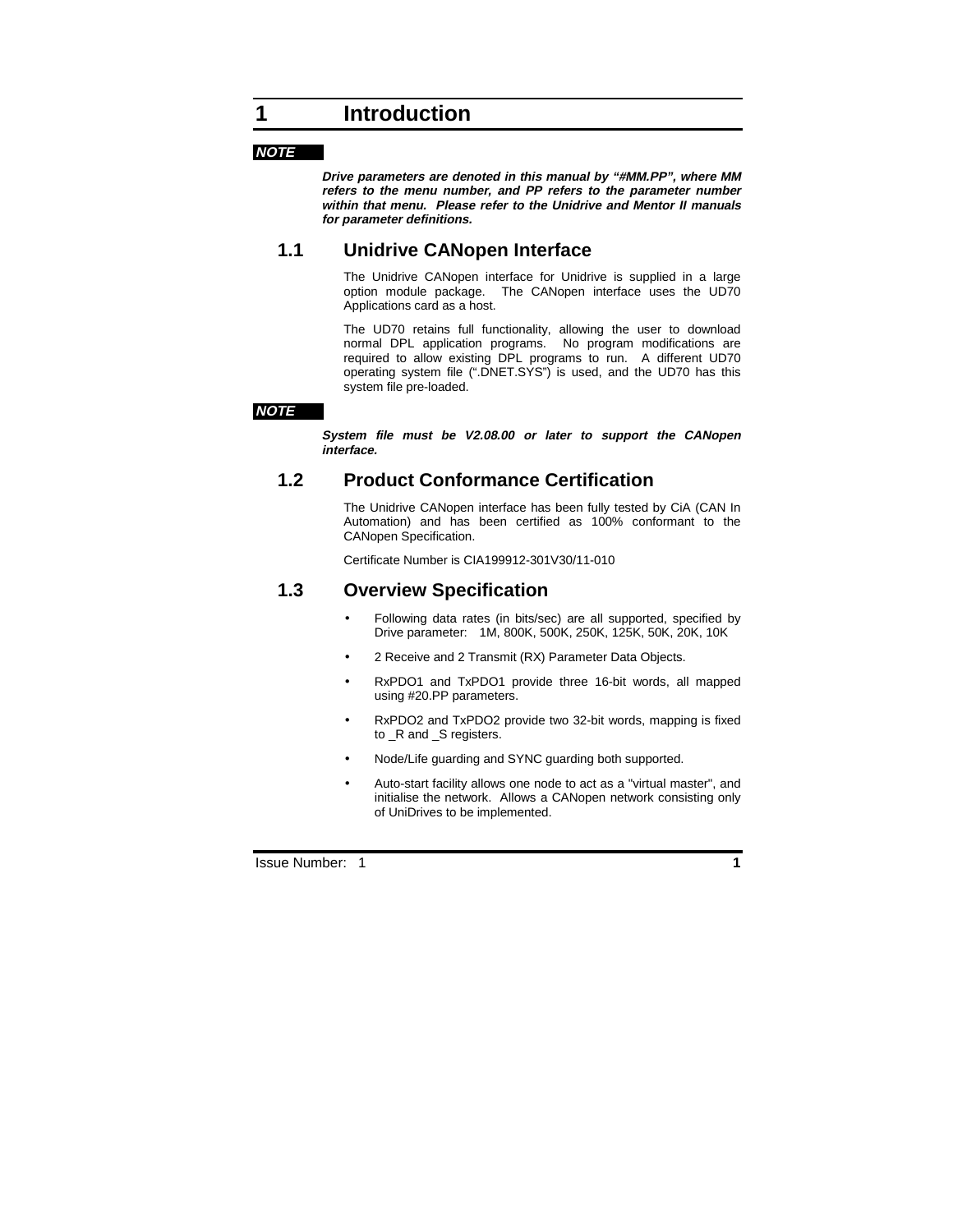#### **NOTE**

**Drive parameters are denoted in this manual by "#MM.PP", where MM refers to the menu number, and PP refers to the parameter number within that menu. Please refer to the Unidrive and Mentor II manuals for parameter definitions.**

# **1.1 Unidrive CANopen Interface**

The Unidrive CANopen interface for Unidrive is supplied in a large option module package. The CANopen interface uses the UD70 Applications card as a host.

The UD70 retains full functionality, allowing the user to download normal DPL application programs. No program modifications are required to allow existing DPL programs to run. A different UD70 operating system file (".DNET.SYS") is used, and the UD70 has this system file pre-loaded.

#### **NOTE**

**System file must be V2.08.00 or later to support the CANopen interface.**

# **1.2 Product Conformance Certification**

The Unidrive CANopen interface has been fully tested by CiA (CAN In Automation) and has been certified as 100% conformant to the CANopen Specification.

Certificate Number is CIA199912-301V30/11-010

# **1.3 Overview Specification**

- Following data rates (in bits/sec) are all supported, specified by Drive parameter: 1M, 800K, 500K, 250K, 125K, 50K, 20K, 10K
- 2 Receive and 2 Transmit (RX) Parameter Data Objects.
- RxPDO1 and TxPDO1 provide three 16-bit words, all mapped using #20.PP parameters.
- RxPDO2 and TxPDO2 provide two 32-bit words, mapping is fixed to \_R and \_S registers.
- Node/Life guarding and SYNC guarding both supported.
- Auto-start facility allows one node to act as a "virtual master", and initialise the network. Allows a CANopen network consisting only of UniDrives to be implemented.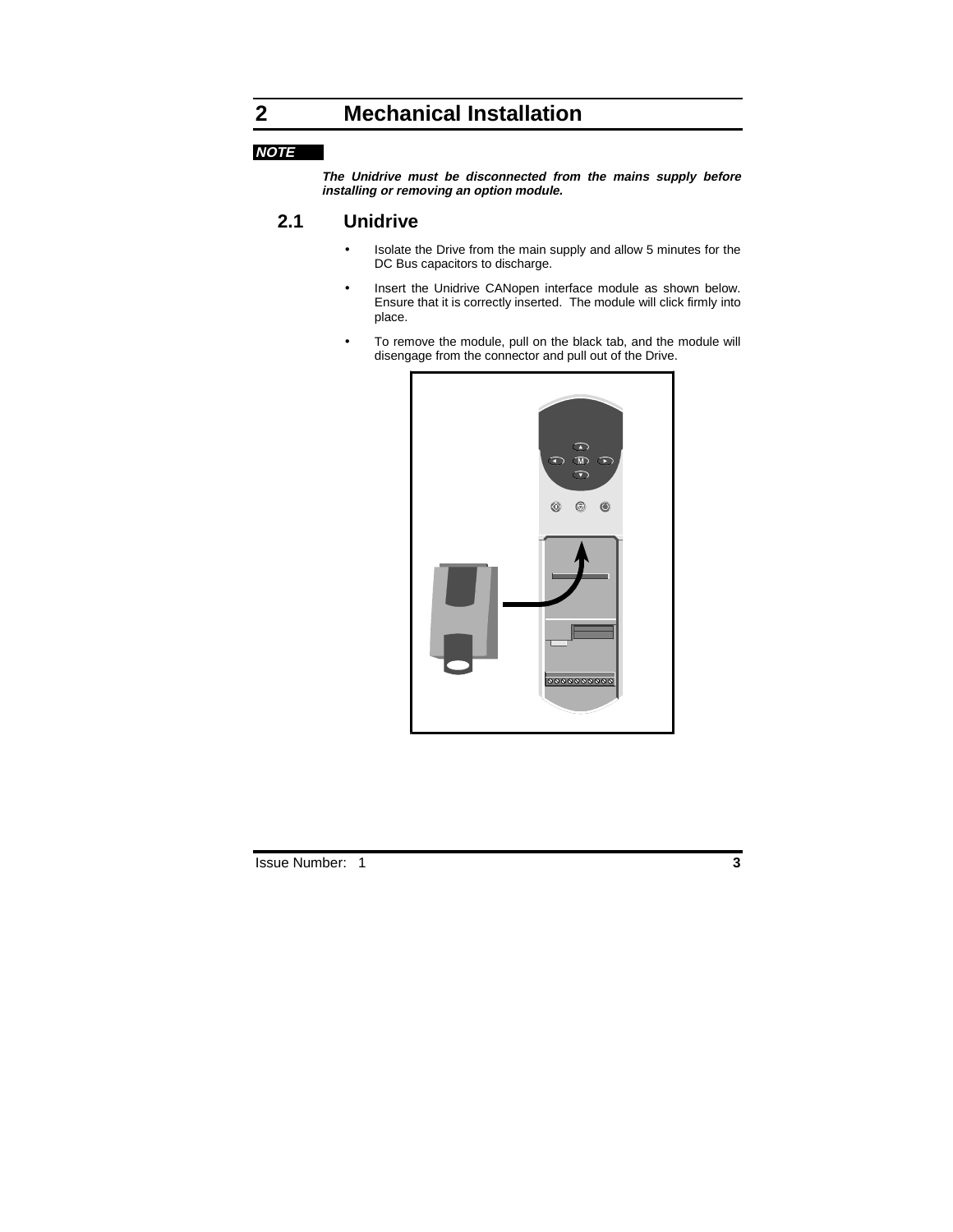# **2 Mechanical Installation**

### **NOTE**

**The Unidrive must be disconnected from the mains supply before installing or removing an option module.**

# **2.1 Unidrive**

- Isolate the Drive from the main supply and allow 5 minutes for the DC Bus capacitors to discharge.
- Insert the Unidrive CANopen interface module as shown below. Ensure that it is correctly inserted. The module will click firmly into place.
- To remove the module, pull on the black tab, and the module will disengage from the connector and pull out of the Drive.

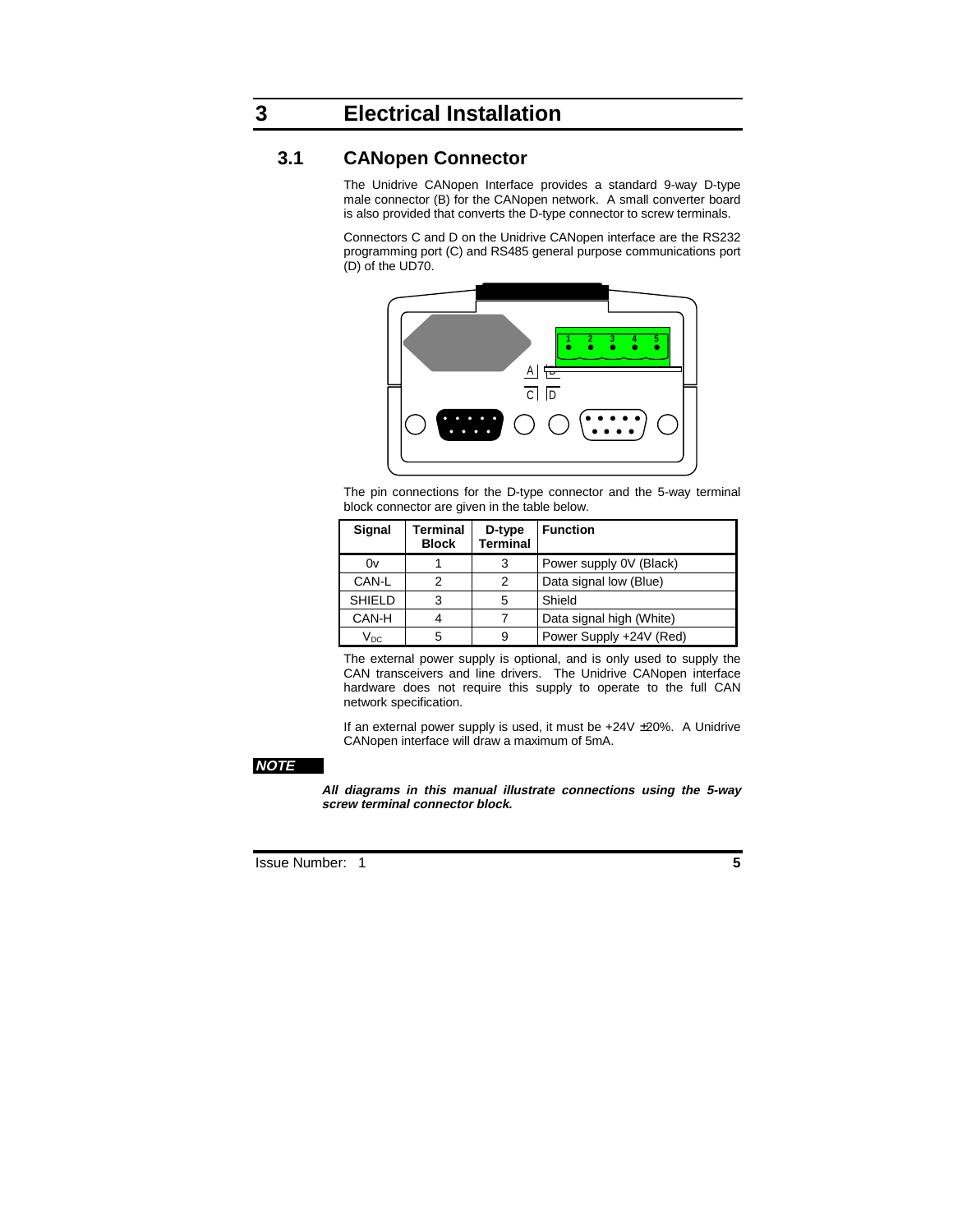# **3 Electrical Installation**

## **3.1 CANopen Connector**

The Unidrive CANopen Interface provides a standard 9-way D-type male connector (B) for the CANopen network. A small converter board is also provided that converts the D-type connector to screw terminals.

Connectors C and D on the Unidrive CANopen interface are the RS232 programming port (C) and RS485 general purpose communications port (D) of the UD70.



The pin connections for the D-type connector and the 5-way terminal block connector are given in the table below.

| Signal                   | Terminal<br><b>Block</b> | D-type<br>Terminal | <b>Function</b>          |
|--------------------------|--------------------------|--------------------|--------------------------|
| 0v                       |                          | 3                  | Power supply 0V (Black)  |
| CAN-L                    | 2                        | 2                  | Data signal low (Blue)   |
| <b>SHIELD</b>            | 3                        | 5                  | Shield                   |
| CAN-H                    |                          |                    | Data signal high (White) |
| $\mathsf{V}_\mathsf{DC}$ | 5                        | 9                  | Power Supply +24V (Red)  |

The external power supply is optional, and is only used to supply the CAN transceivers and line drivers. The Unidrive CANopen interface hardware does not require this supply to operate to the full CAN network specification.

If an external power supply is used, it must be +24V ±20%. A Unidrive CANopen interface will draw a maximum of 5mA.

#### **NOTE**

**All diagrams in this manual illustrate connections using the 5-way screw terminal connector block.**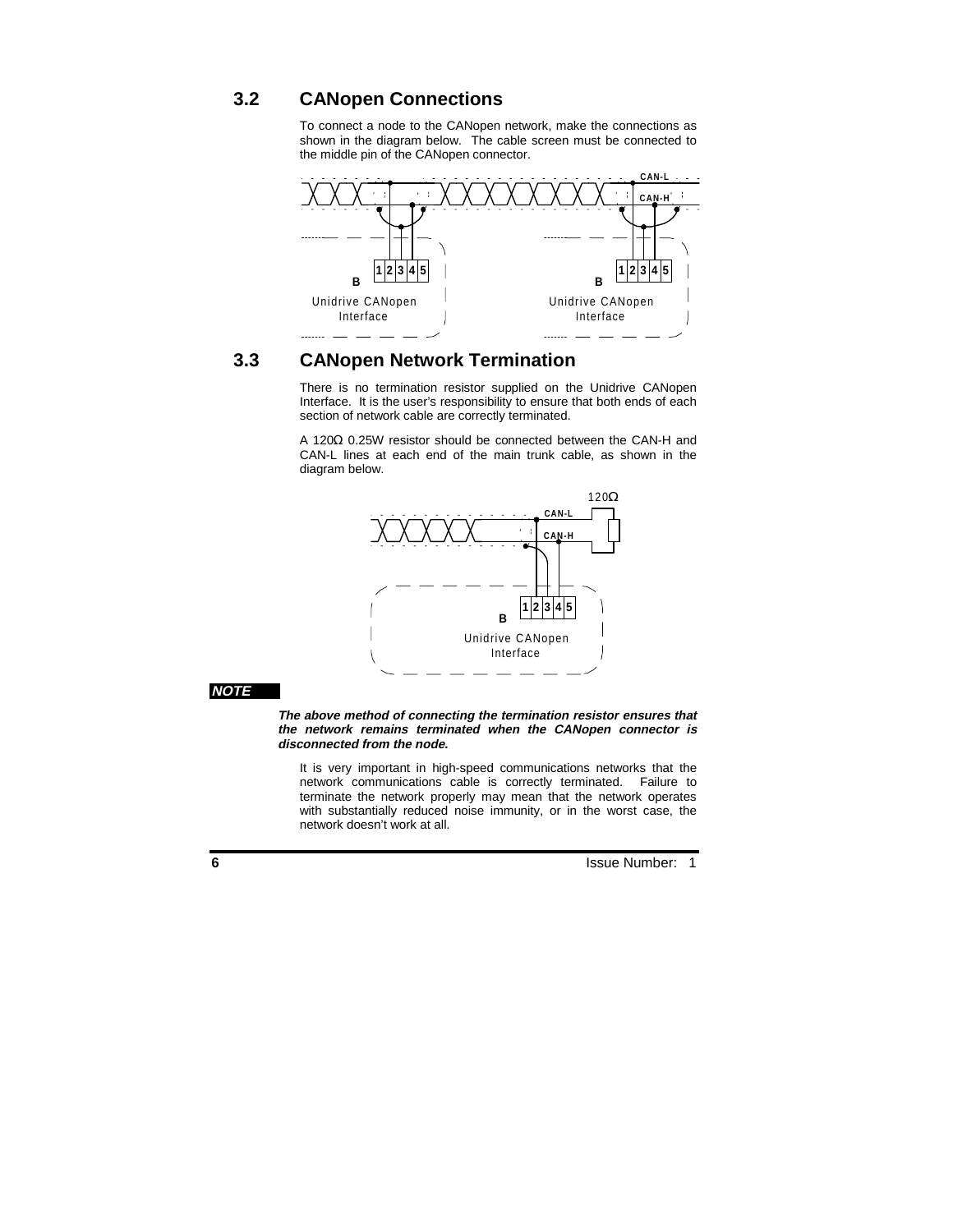# **3.2 CANopen Connections**

To connect a node to the CANopen network, make the connections as shown in the diagram below. The cable screen must be connected to the middle pin of the CANopen connector.



# **3.3 CANopen Network Termination**

There is no termination resistor supplied on the Unidrive CANopen Interface. It is the user's responsibility to ensure that both ends of each section of network cable are correctly terminated.

A 120Ω 0.25W resistor should be connected between the CAN-H and CAN-L lines at each end of the main trunk cable, as shown in the diagram below.



#### **NOTE**

**The above method of connecting the termination resistor ensures that the network remains terminated when the CANopen connector is disconnected from the node.**

It is very important in high-speed communications networks that the network communications cable is correctly terminated. Failure to terminate the network properly may mean that the network operates with substantially reduced noise immunity, or in the worst case, the network doesn't work at all.

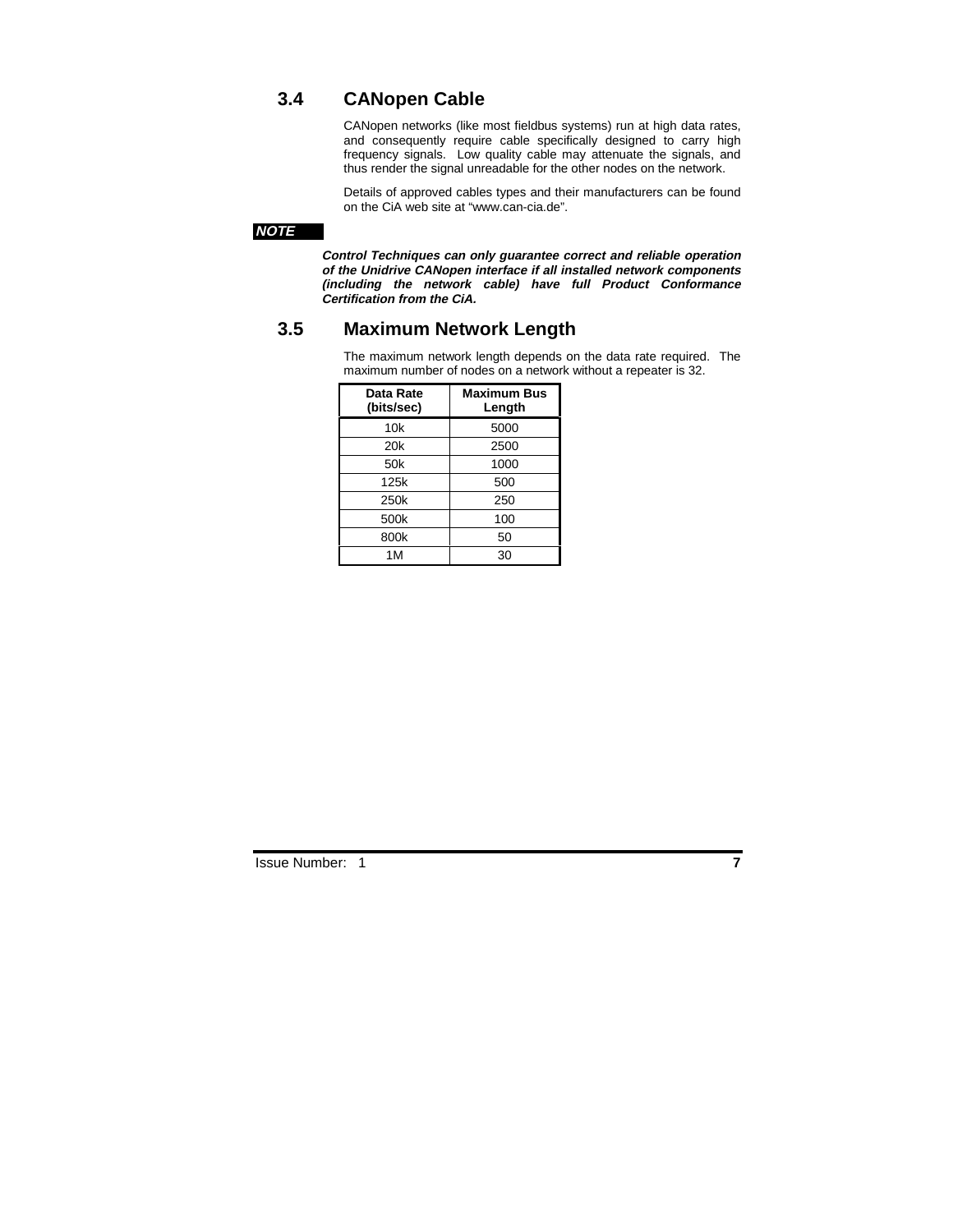# **3.4 CANopen Cable**

CANopen networks (like most fieldbus systems) run at high data rates, and consequently require cable specifically designed to carry high frequency signals. Low quality cable may attenuate the signals, and thus render the signal unreadable for the other nodes on the network.

Details of approved cables types and their manufacturers can be found on the CiA web site at "www.can-cia.de".

### **NOTE**

**Control Techniques can only guarantee correct and reliable operation of the Unidrive CANopen interface if all installed network components (including the network cable) have full Product Conformance Certification from the CiA.**

### **3.5 Maximum Network Length**

The maximum network length depends on the data rate required. The maximum number of nodes on a network without a repeater is 32.

| Data Rate<br>(bits/sec) | <b>Maximum Bus</b><br>Length |
|-------------------------|------------------------------|
| 10k                     | 5000                         |
| 20 <sub>k</sub>         | 2500                         |
| 50 <sub>k</sub>         | 1000                         |
| 125k                    | 500                          |
| 250k                    | 250                          |
| 500k                    | 100                          |
| 800k                    | 50                           |
| 1M                      | 30                           |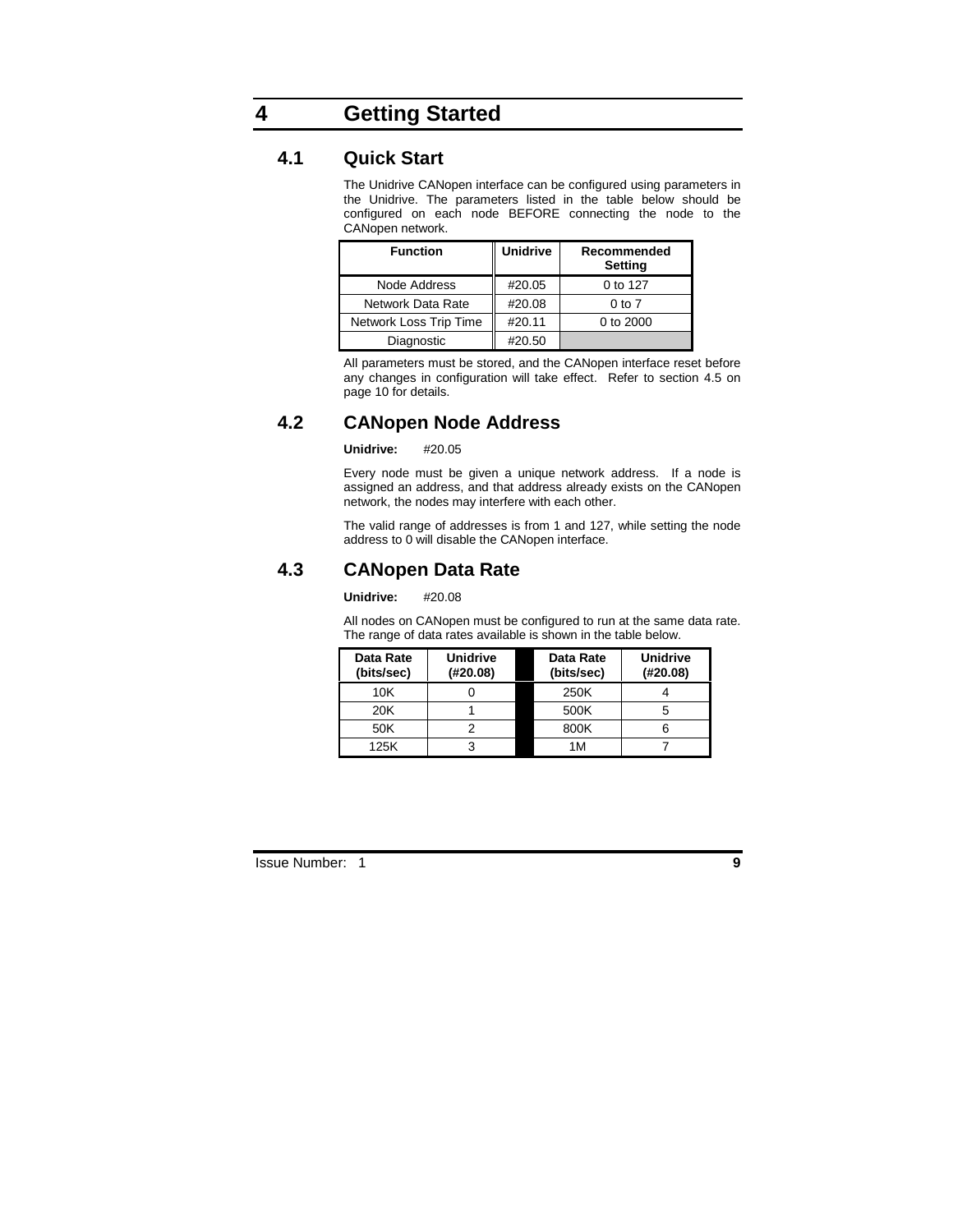# **4 Getting Started**

# **4.1 Quick Start**

The Unidrive CANopen interface can be configured using parameters in the Unidrive. The parameters listed in the table below should be configured on each node BEFORE connecting the node to the CANopen network.

| <b>Function</b>        | <b>Unidrive</b> | Recommended<br>Setting |
|------------------------|-----------------|------------------------|
| Node Address           | #20.05          | 0 to 127               |
| Network Data Rate      | #20.08          | $0$ to $7$             |
| Network Loss Trip Time | #20.11          | 0 to 2000              |
| Diagnostic             | #20.50          |                        |

All parameters must be stored, and the CANopen interface reset before any changes in configuration will take effect. Refer to section 4.5 on page 10 for details.

# **4.2 CANopen Node Address**

#### **Unidrive:** #20.05

Every node must be given a unique network address. If a node is assigned an address, and that address already exists on the CANopen network, the nodes may interfere with each other.

The valid range of addresses is from 1 and 127, while setting the node address to 0 will disable the CANopen interface.

# **4.3 CANopen Data Rate**

#### **Unidrive:** #20.08

All nodes on CANopen must be configured to run at the same data rate. The range of data rates available is shown in the table below.

| Data Rate<br>(bits/sec) | <b>Unidrive</b><br>(H20.08) | Data Rate<br>(bits/sec) | <b>Unidrive</b><br>(H20.08) |
|-------------------------|-----------------------------|-------------------------|-----------------------------|
| 10K                     |                             | 250K                    |                             |
| 20K                     |                             | 500K                    |                             |
| 50K                     |                             | 800K                    | 6                           |
| 125K                    | 3                           | 1M                      |                             |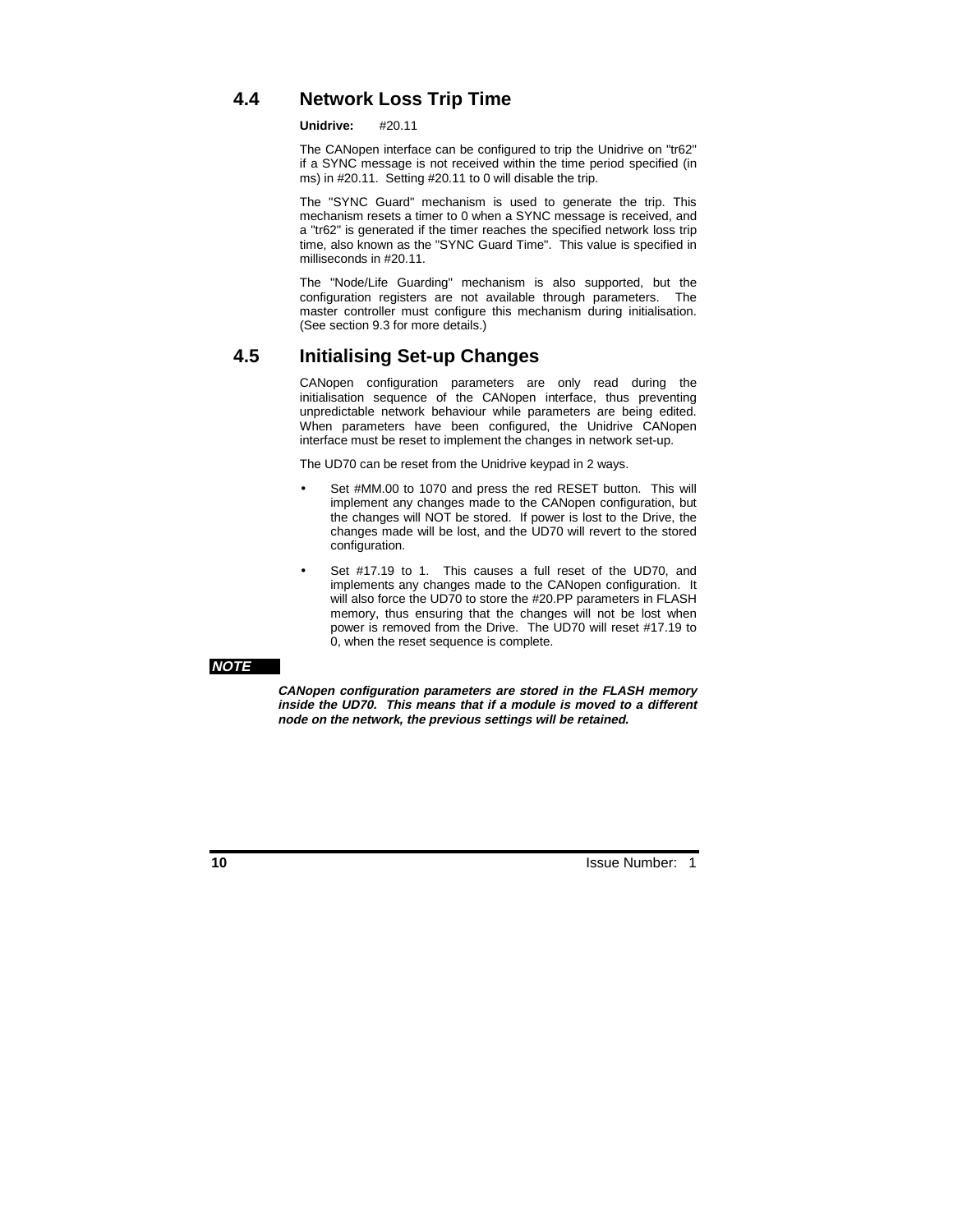# **4.4 Network Loss Trip Time**

**Unidrive:** #20.11

The CANopen interface can be configured to trip the Unidrive on "tr62" if a SYNC message is not received within the time period specified (in ms) in #20.11. Setting #20.11 to 0 will disable the trip.

The "SYNC Guard" mechanism is used to generate the trip. This mechanism resets a timer to 0 when a SYNC message is received, and a "tr62" is generated if the timer reaches the specified network loss trip time, also known as the "SYNC Guard Time". This value is specified in milliseconds in #20.11.

The "Node/Life Guarding" mechanism is also supported, but the configuration registers are not available through parameters. The master controller must configure this mechanism during initialisation. (See section 9.3 for more details.)

# **4.5 Initialising Set-up Changes**

CANopen configuration parameters are only read during the initialisation sequence of the CANopen interface, thus preventing unpredictable network behaviour while parameters are being edited. When parameters have been configured, the Unidrive CANopen interface must be reset to implement the changes in network set-up.

The UD70 can be reset from the Unidrive keypad in 2 ways.

- Set #MM.00 to 1070 and press the red RESET button. This will implement any changes made to the CANopen configuration, but the changes will NOT be stored. If power is lost to the Drive, the changes made will be lost, and the UD70 will revert to the stored configuration.
- Set #17.19 to 1. This causes a full reset of the UD70, and implements any changes made to the CANopen configuration. It will also force the UD70 to store the #20.PP parameters in FLASH memory, thus ensuring that the changes will not be lost when power is removed from the Drive. The UD70 will reset #17.19 to 0, when the reset sequence is complete.

#### **NOTE**

**CANopen configuration parameters are stored in the FLASH memory inside the UD70. This means that if a module is moved to a different node on the network, the previous settings will be retained.**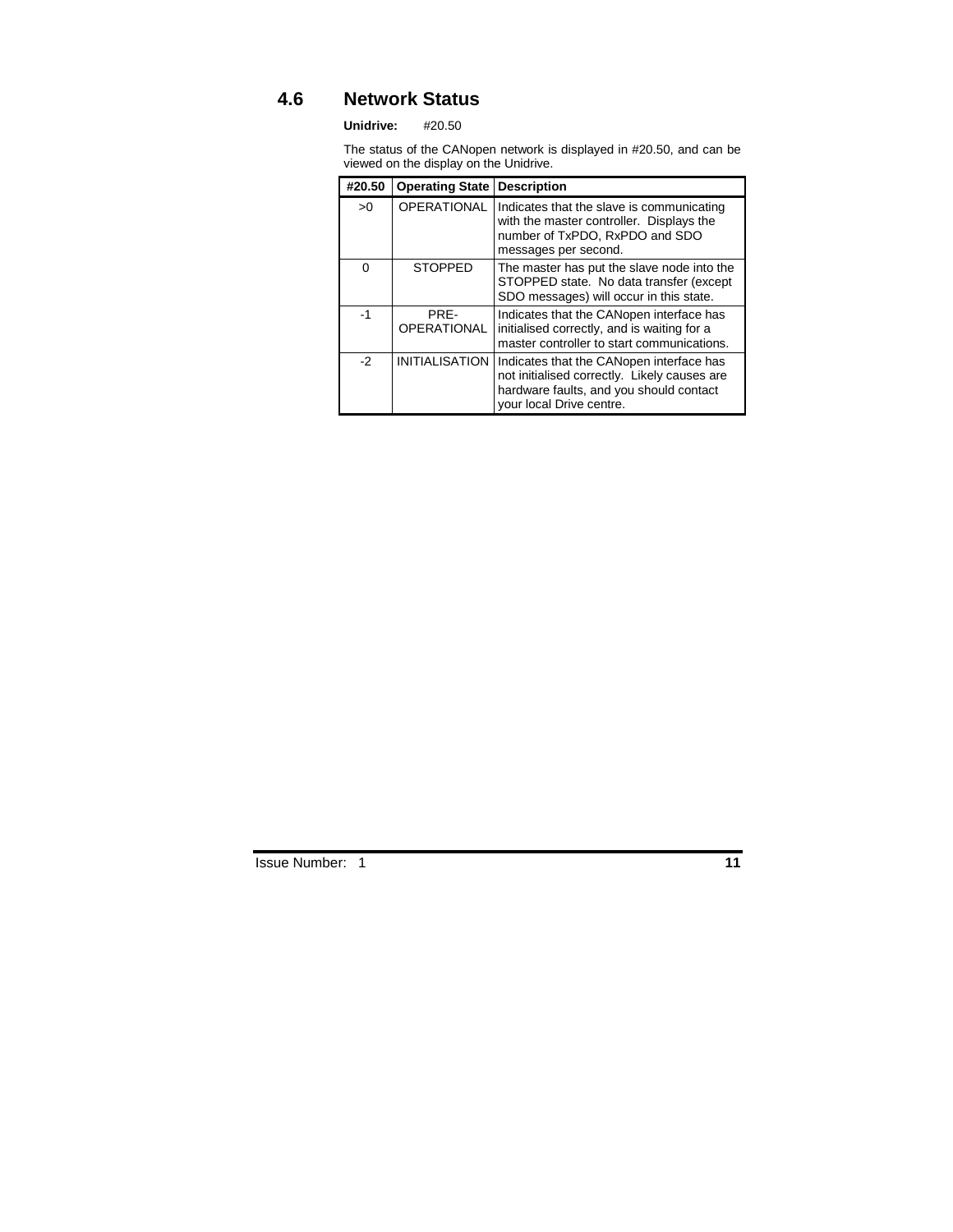# **4.6 Network Status**

**Unidrive:** #20.50

The status of the CANopen network is displayed in #20.50, and can be viewed on the display on the Unidrive.

| #20.50   | <b>Operating State</b>     | <b>Description</b>                                                                                                                                              |
|----------|----------------------------|-----------------------------------------------------------------------------------------------------------------------------------------------------------------|
| >0       | <b>OPERATIONAL</b>         | Indicates that the slave is communicating<br>with the master controller. Displays the<br>number of TxPDO, RxPDO and SDO<br>messages per second.                 |
| $\Omega$ | <b>STOPPED</b>             | The master has put the slave node into the<br>STOPPED state. No data transfer (except<br>SDO messages) will occur in this state.                                |
| $-1$     | PRF-<br><b>OPERATIONAL</b> | Indicates that the CANopen interface has<br>initialised correctly, and is waiting for a<br>master controller to start communications.                           |
| $-2$     | <b>INITIALISATION</b>      | Indicates that the CANopen interface has<br>not initialised correctly. Likely causes are<br>hardware faults, and you should contact<br>your local Drive centre. |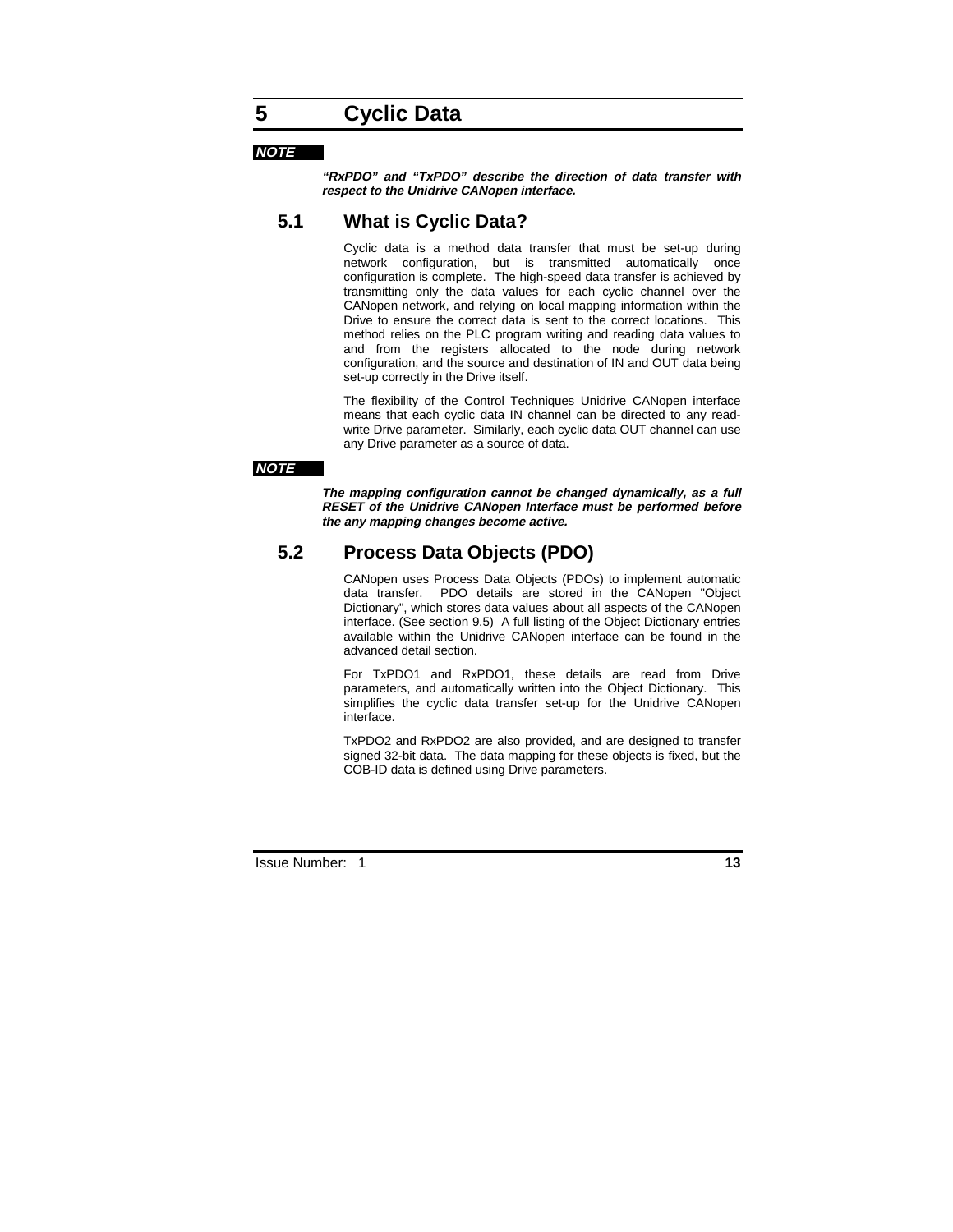# **5 Cyclic Data**

#### **NOTE**

**"RxPDO" and "TxPDO" describe the direction of data transfer with respect to the Unidrive CANopen interface.**

# **5.1 What is Cyclic Data?**

Cyclic data is a method data transfer that must be set-up during network configuration, but is transmitted automatically once configuration is complete. The high-speed data transfer is achieved by transmitting only the data values for each cyclic channel over the CANopen network, and relying on local mapping information within the Drive to ensure the correct data is sent to the correct locations. This method relies on the PLC program writing and reading data values to and from the registers allocated to the node during network configuration, and the source and destination of IN and OUT data being set-up correctly in the Drive itself.

The flexibility of the Control Techniques Unidrive CANopen interface means that each cyclic data IN channel can be directed to any readwrite Drive parameter. Similarly, each cyclic data OUT channel can use any Drive parameter as a source of data.

#### **NOTE**

**The mapping configuration cannot be changed dynamically, as a full RESET of the Unidrive CANopen Interface must be performed before the any mapping changes become active.**

### **5.2 Process Data Objects (PDO)**

CANopen uses Process Data Objects (PDOs) to implement automatic data transfer. PDO details are stored in the CANopen "Object Dictionary", which stores data values about all aspects of the CANopen interface. (See section 9.5) A full listing of the Object Dictionary entries available within the Unidrive CANopen interface can be found in the advanced detail section.

For TxPDO1 and RxPDO1, these details are read from Drive parameters, and automatically written into the Object Dictionary. This simplifies the cyclic data transfer set-up for the Unidrive CANopen interface.

TxPDO2 and RxPDO2 are also provided, and are designed to transfer signed 32-bit data. The data mapping for these objects is fixed, but the COB-ID data is defined using Drive parameters.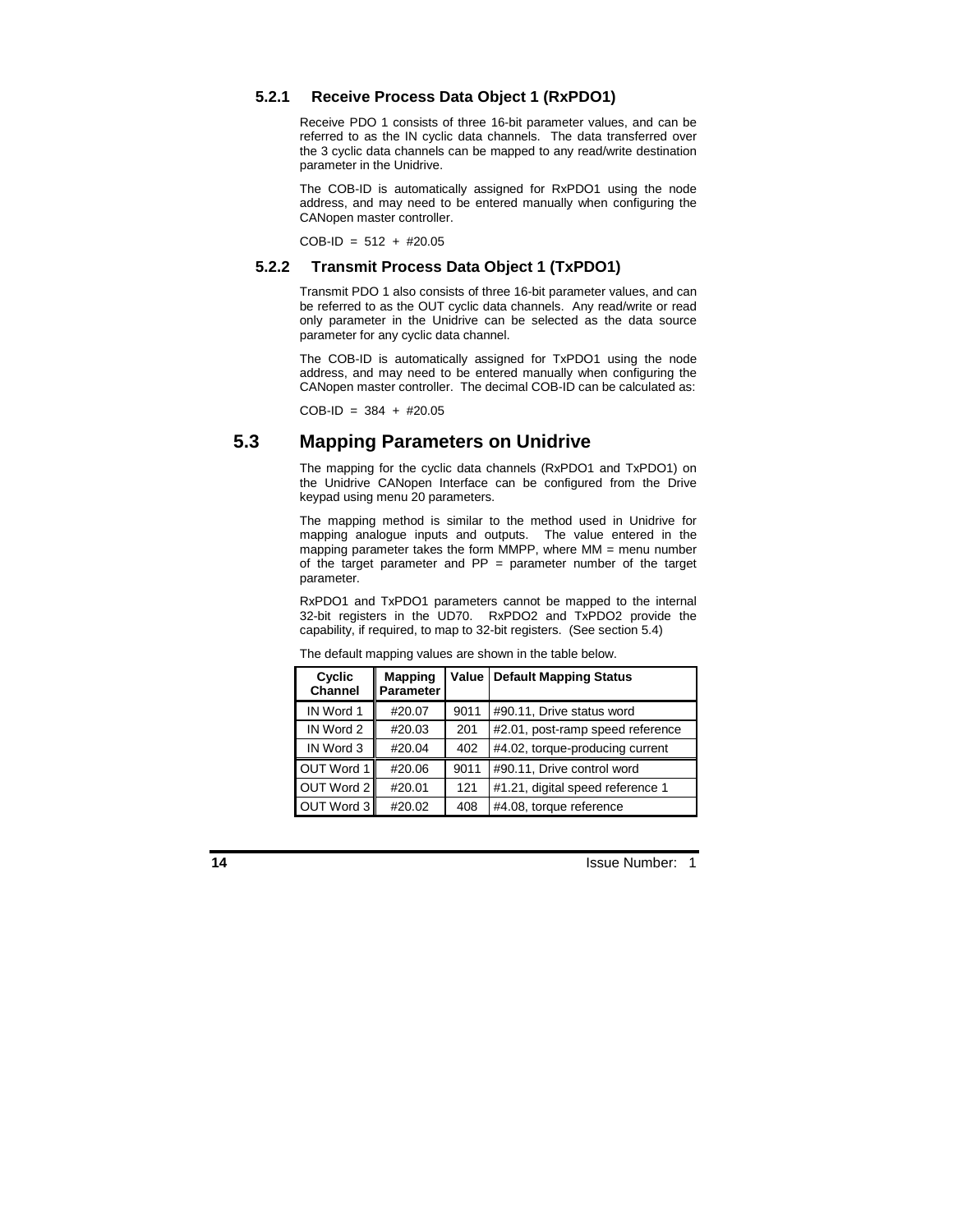#### **5.2.1 Receive Process Data Object 1 (RxPDO1)**

Receive PDO 1 consists of three 16-bit parameter values, and can be referred to as the IN cyclic data channels. The data transferred over the 3 cyclic data channels can be mapped to any read/write destination parameter in the Unidrive.

The COB-ID is automatically assigned for RxPDO1 using the node address, and may need to be entered manually when configuring the CANopen master controller.

COB-ID = 512 + #20.05

#### **5.2.2 Transmit Process Data Object 1 (TxPDO1)**

Transmit PDO 1 also consists of three 16-bit parameter values, and can be referred to as the OUT cyclic data channels. Any read/write or read only parameter in the Unidrive can be selected as the data source parameter for any cyclic data channel.

The COB-ID is automatically assigned for TxPDO1 using the node address, and may need to be entered manually when configuring the CANopen master controller. The decimal COB-ID can be calculated as:

 $COB$ -ID = 384 + #20.05

# **5.3 Mapping Parameters on Unidrive**

The mapping for the cyclic data channels (RxPDO1 and TxPDO1) on the Unidrive CANopen Interface can be configured from the Drive keypad using menu 20 parameters.

The mapping method is similar to the method used in Unidrive for mapping analogue inputs and outputs. The value entered in the mapping parameter takes the form MMPP, where MM = menu number of the target parameter and  $PP =$  parameter number of the target parameter.

RxPDO1 and TxPDO1 parameters cannot be mapped to the internal 32-bit registers in the UD70. RxPDO2 and TxPDO2 provide the capability, if required, to map to 32-bit registers. (See section 5.4)

| Cyclic<br><b>Channel</b> | <b>Mapping</b><br><b>Parameter</b> | Value | <b>Default Mapping Status</b>    |  |
|--------------------------|------------------------------------|-------|----------------------------------|--|
| IN Word 1                | #20.07                             | 9011  | #90.11, Drive status word        |  |
| IN Word 2                | #20.03                             | 201   | #2.01, post-ramp speed reference |  |
| IN Word 3                | #20.04                             | 402   | #4.02, torque-producing current  |  |
| OUT Word 1               | #20.06                             | 9011  | #90.11, Drive control word       |  |
| OUT Word 2               | #20.01                             | 121   | #1.21, digital speed reference 1 |  |
| OUT Word 3               | #20.02                             | 408   | #4.08, torque reference          |  |

The default mapping values are shown in the table below.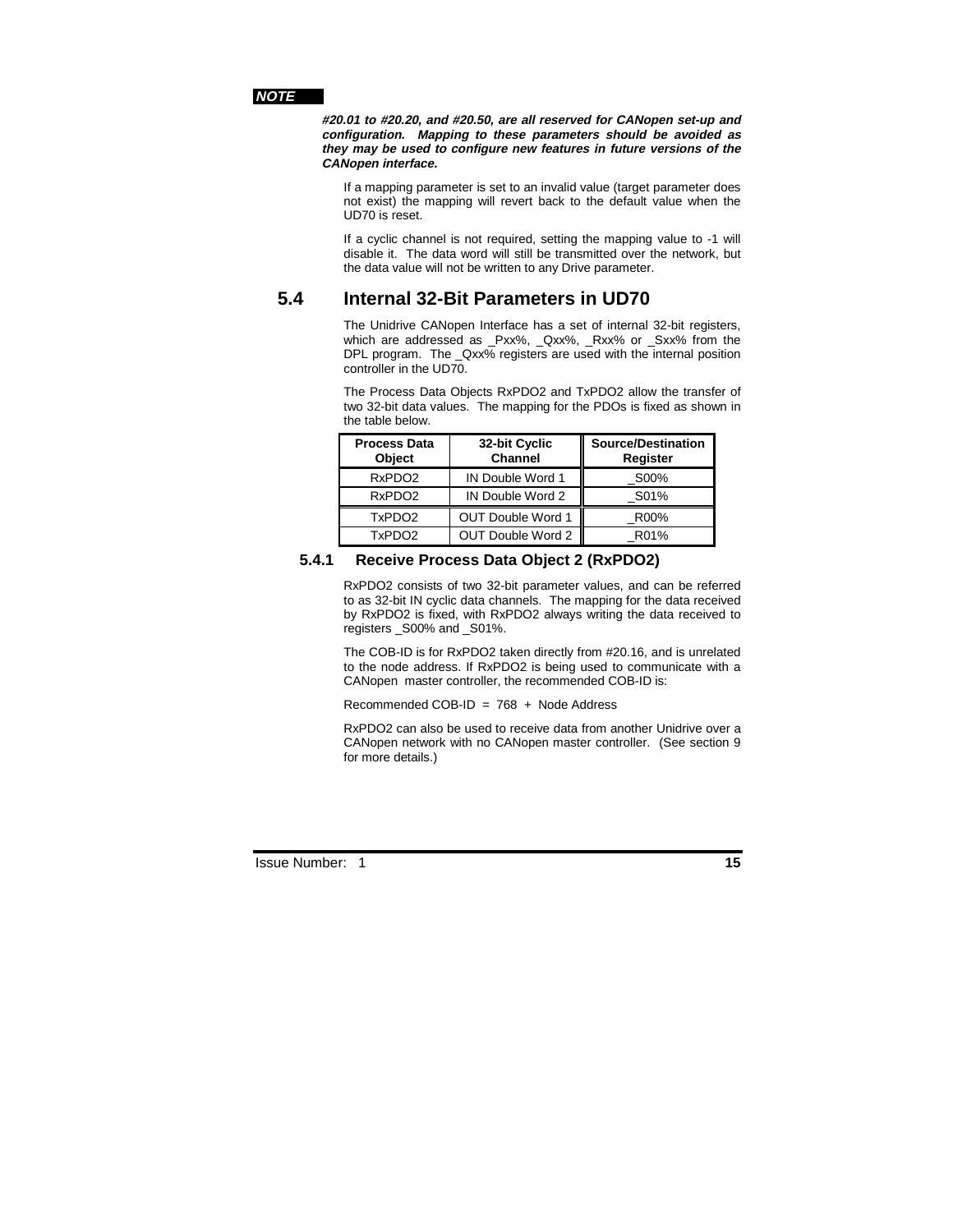#### **NOTE**

**#20.01 to #20.20, and #20.50, are all reserved for CANopen set-up and configuration. Mapping to these parameters should be avoided as they may be used to configure new features in future versions of the CANopen interface.**

If a mapping parameter is set to an invalid value (target parameter does not exist) the mapping will revert back to the default value when the UD70 is reset.

If a cyclic channel is not required, setting the mapping value to -1 will disable it. The data word will still be transmitted over the network, but the data value will not be written to any Drive parameter.

# **5.4 Internal 32-Bit Parameters in UD70**

The Unidrive CANopen Interface has a set of internal 32-bit registers, which are addressed as \_Pxx%, \_Qxx%, \_Rxx% or \_Sxx% from the DPL program. The Qxx% registers are used with the internal position controller in the UD70.

The Process Data Objects RxPDO2 and TxPDO2 allow the transfer of two 32-bit data values. The mapping for the PDOs is fixed as shown in the table below.

| <b>Process Data</b><br><b>Object</b> | 32-bit Cyclic<br><b>Channel</b> | <b>Source/Destination</b><br>Register |
|--------------------------------------|---------------------------------|---------------------------------------|
| RxPDO <sub>2</sub>                   | IN Double Word 1                | S00%                                  |
| RxPDO <sub>2</sub>                   | IN Double Word 2                | S01%                                  |
| TxPDO <sub>2</sub>                   | <b>OUT Double Word 1</b>        | R00%                                  |
| TxPDO <sub>2</sub>                   | OUT Double Word 2               | R01%                                  |

#### **5.4.1 Receive Process Data Object 2 (RxPDO2)**

RxPDO2 consists of two 32-bit parameter values, and can be referred to as 32-bit IN cyclic data channels. The mapping for the data received by RxPDO2 is fixed, with RxPDO2 always writing the data received to registers \_S00% and \_S01%.

The COB-ID is for RxPDO2 taken directly from #20.16, and is unrelated to the node address. If RxPDO2 is being used to communicate with a CANopen master controller, the recommended COB-ID is:

Recommended COB-ID = 768 + Node Address

RxPDO2 can also be used to receive data from another Unidrive over a CANopen network with no CANopen master controller. (See section 9 for more details.)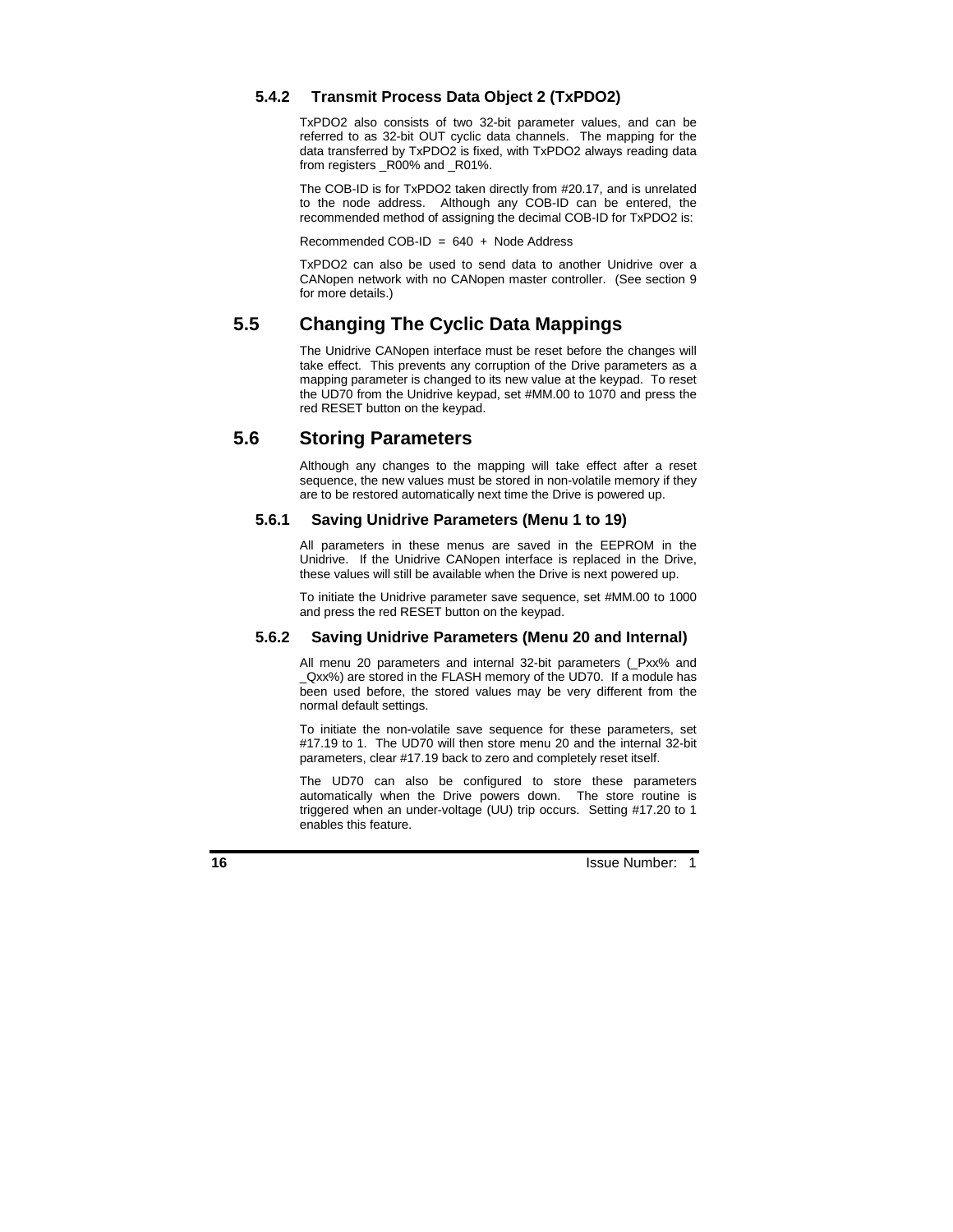#### **5.4.2 Transmit Process Data Object 2 (TxPDO2)**

TxPDO2 also consists of two 32-bit parameter values, and can be referred to as 32-bit OUT cyclic data channels. The mapping for the data transferred by TxPDO2 is fixed, with TxPDO2 always reading data from registers R00% and R01%.

The COB-ID is for TxPDO2 taken directly from #20.17, and is unrelated to the node address. Although any COB-ID can be entered, the recommended method of assigning the decimal COB-ID for TxPDO2 is:

Recommended COB-ID =  $640 + \text{Node Address}$ 

TxPDO2 can also be used to send data to another Unidrive over a CANopen network with no CANopen master controller. (See section 9 for more details.)

### **5.5 Changing The Cyclic Data Mappings**

The Unidrive CANopen interface must be reset before the changes will take effect. This prevents any corruption of the Drive parameters as a mapping parameter is changed to its new value at the keypad. To reset the UD70 from the Unidrive keypad, set #MM.00 to 1070 and press the red RESET button on the keypad.

### **5.6 Storing Parameters**

Although any changes to the mapping will take effect after a reset sequence, the new values must be stored in non-volatile memory if they are to be restored automatically next time the Drive is powered up.

#### **5.6.1 Saving Unidrive Parameters (Menu 1 to 19)**

All parameters in these menus are saved in the EEPROM in the Unidrive. If the Unidrive CANopen interface is replaced in the Drive, these values will still be available when the Drive is next powered up.

To initiate the Unidrive parameter save sequence, set #MM.00 to 1000 and press the red RESET button on the keypad.

#### **5.6.2 Saving Unidrive Parameters (Menu 20 and Internal)**

All menu 20 parameters and internal 32-bit parameters (\_Pxx% and \_Qxx%) are stored in the FLASH memory of the UD70. If a module has been used before, the stored values may be very different from the normal default settings.

To initiate the non-volatile save sequence for these parameters, set #17.19 to 1. The UD70 will then store menu 20 and the internal 32-bit parameters, clear #17.19 back to zero and completely reset itself.

The UD70 can also be configured to store these parameters automatically when the Drive powers down. The store routine is triggered when an under-voltage (UU) trip occurs. Setting #17.20 to 1 enables this feature.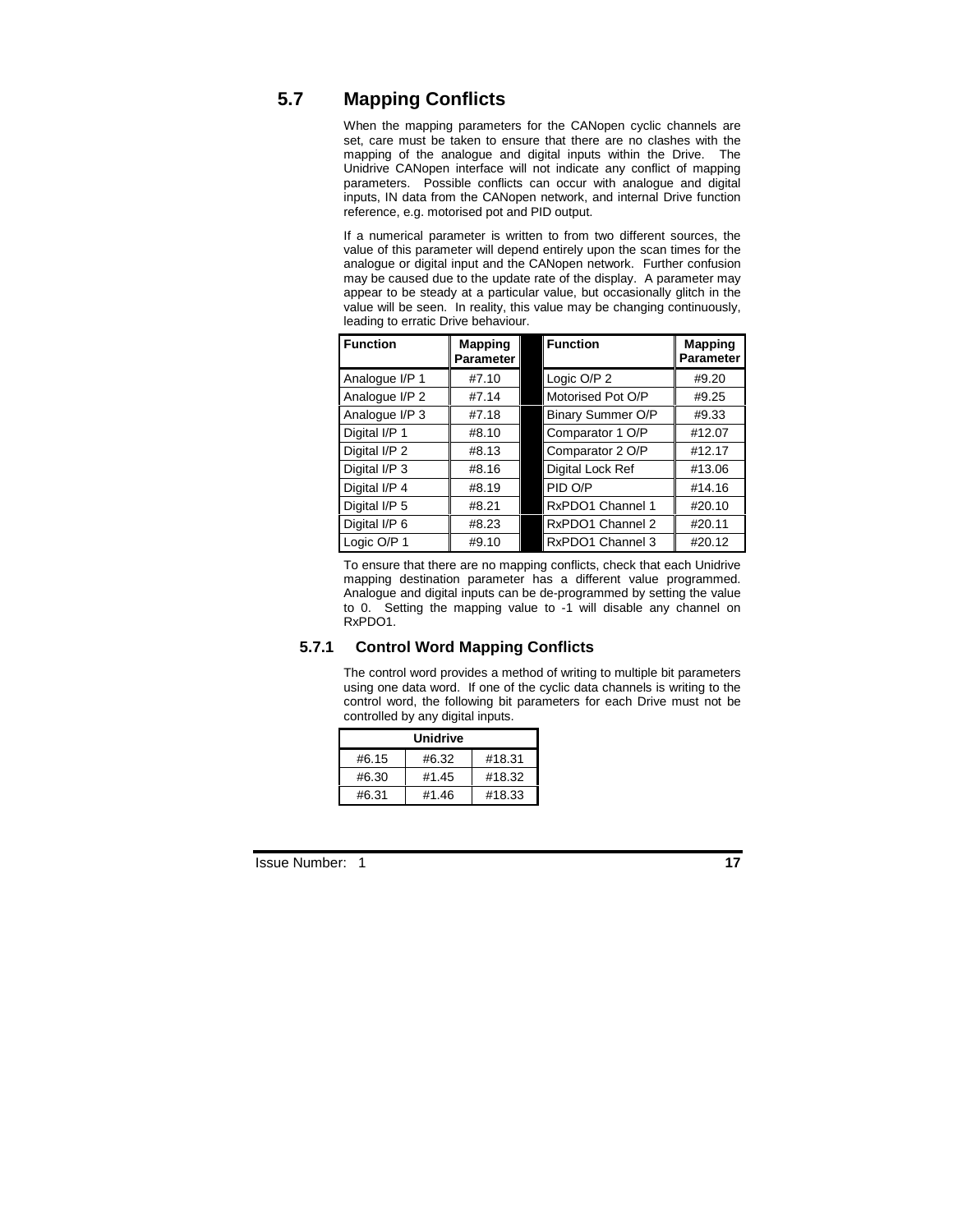# **5.7 Mapping Conflicts**

When the mapping parameters for the CANopen cyclic channels are set, care must be taken to ensure that there are no clashes with the mapping of the analogue and digital inputs within the Drive. The Unidrive CANopen interface will not indicate any conflict of mapping parameters. Possible conflicts can occur with analogue and digital inputs, IN data from the CANopen network, and internal Drive function reference, e.g. motorised pot and PID output.

If a numerical parameter is written to from two different sources, the value of this parameter will depend entirely upon the scan times for the analogue or digital input and the CANopen network. Further confusion may be caused due to the update rate of the display. A parameter may appear to be steady at a particular value, but occasionally glitch in the value will be seen. In reality, this value may be changing continuously, leading to erratic Drive behaviour.

| <b>Function</b> | <b>Mapping</b><br><b>Parameter</b> | <b>Function</b>   | <b>Mapping</b><br><b>Parameter</b> |
|-----------------|------------------------------------|-------------------|------------------------------------|
| Analogue I/P 1  | #7.10                              | Logic O/P 2       | #9.20                              |
| Analogue I/P 2  | #7.14                              | Motorised Pot O/P | #9.25                              |
| Analogue I/P 3  | #7.18                              | Binary Summer O/P | #9.33                              |
| Digital I/P 1   | #8.10                              | Comparator 1 O/P  | #12.07                             |
| Digital I/P 2   | #8.13                              | Comparator 2 O/P  | #12.17                             |
| Digital I/P 3   | #8.16                              | Digital Lock Ref  | #13.06                             |
| Digital I/P 4   | #8.19                              | PID O/P           | #14.16                             |
| Digital I/P 5   | #8.21                              | RxPDO1 Channel 1  | #20.10                             |
| Digital I/P 6   | #8.23                              | RxPDO1 Channel 2  | #20.11                             |
| Logic O/P 1     | #9.10                              | RxPDO1 Channel 3  | #20.12                             |

To ensure that there are no mapping conflicts, check that each Unidrive mapping destination parameter has a different value programmed. Analogue and digital inputs can be de-programmed by setting the value to 0. Setting the mapping value to -1 will disable any channel on RxPDO1.

#### **5.7.1 Control Word Mapping Conflicts**

The control word provides a method of writing to multiple bit parameters using one data word. If one of the cyclic data channels is writing to the control word, the following bit parameters for each Drive must not be controlled by any digital inputs.

| Unidrive |       |        |  |  |
|----------|-------|--------|--|--|
| #6.15    | #6.32 | #18.31 |  |  |
| #6.30    | #1.45 | #18.32 |  |  |
| #6.31    | #1.46 | #18.33 |  |  |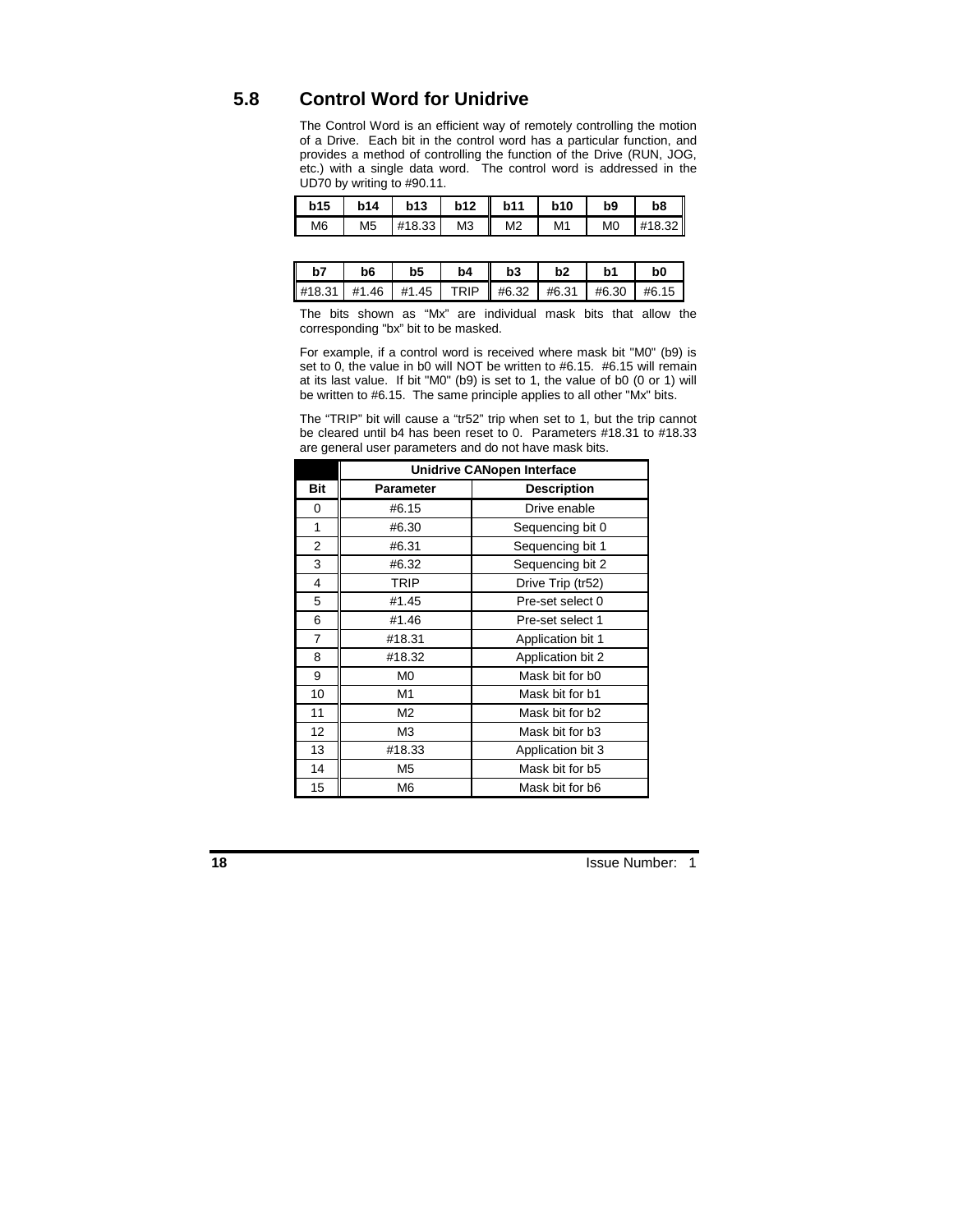# **5.8 Control Word for Unidrive**

The Control Word is an efficient way of remotely controlling the motion of a Drive. Each bit in the control word has a particular function, and provides a method of controlling the function of the Drive (RUN, JOG, etc.) with a single data word. The control word is addressed in the UD70 by writing to #90.11.

| <b>b15</b><br>$\mathbf{I}$ | <b>b14</b>     | b13    | b12<br>- 11    | <b>b11</b>     | <b>b10</b>     | b <sub>9</sub> | b8     |
|----------------------------|----------------|--------|----------------|----------------|----------------|----------------|--------|
| M <sub>6</sub>             | M <sub>5</sub> | #18.33 | M <sub>3</sub> | M <sub>2</sub> | M <sub>1</sub> | M <sub>0</sub> | #18.32 |

| b7 | b6 | b <sub>5</sub>                                                               | b4 | b3 | b2 | b <sub>1</sub> | b0 |
|----|----|------------------------------------------------------------------------------|----|----|----|----------------|----|
|    |    | $\parallel$ #18.31   #1.46   #1.45   TRIP    #6.32   #6.31   #6.30   #6.15 ' |    |    |    |                |    |

The bits shown as "Mx" are individual mask bits that allow the corresponding "bx" bit to be masked.

For example, if a control word is received where mask bit "M0" (b9) is set to 0, the value in b0 will NOT be written to #6.15. #6.15 will remain at its last value. If bit "M0" (b9) is set to 1, the value of b0 (0 or 1) will be written to #6.15. The same principle applies to all other "Mx" bits.

The "TRIP" bit will cause a "tr52" trip when set to 1, but the trip cannot be cleared until b4 has been reset to 0. Parameters #18.31 to #18.33 are general user parameters and do not have mask bits.

|                | <b>Unidrive CANopen Interface</b> |                    |  |  |  |  |
|----------------|-----------------------------------|--------------------|--|--|--|--|
| Bit            | <b>Parameter</b>                  | <b>Description</b> |  |  |  |  |
| 0              | #6.15                             | Drive enable       |  |  |  |  |
| 1              | #6.30                             | Sequencing bit 0   |  |  |  |  |
| $\overline{2}$ | #6.31                             | Sequencing bit 1   |  |  |  |  |
| 3              | #6.32                             | Sequencing bit 2   |  |  |  |  |
| 4              | <b>TRIP</b>                       | Drive Trip (tr52)  |  |  |  |  |
| 5              | #1.45                             | Pre-set select 0   |  |  |  |  |
| 6              | #1.46                             | Pre-set select 1   |  |  |  |  |
| 7              | #18.31                            | Application bit 1  |  |  |  |  |
| 8              | #18.32                            | Application bit 2  |  |  |  |  |
| 9              | M <sub>0</sub>                    | Mask bit for b0    |  |  |  |  |
| 10             | M1                                | Mask bit for b1    |  |  |  |  |
| 11             | M2                                | Mask bit for b2    |  |  |  |  |
| 12             | M <sub>3</sub>                    | Mask bit for b3    |  |  |  |  |
| 13             | #18.33                            | Application bit 3  |  |  |  |  |
| 14             | M <sub>5</sub>                    | Mask bit for b5    |  |  |  |  |
| 15             | M6                                | Mask bit for b6    |  |  |  |  |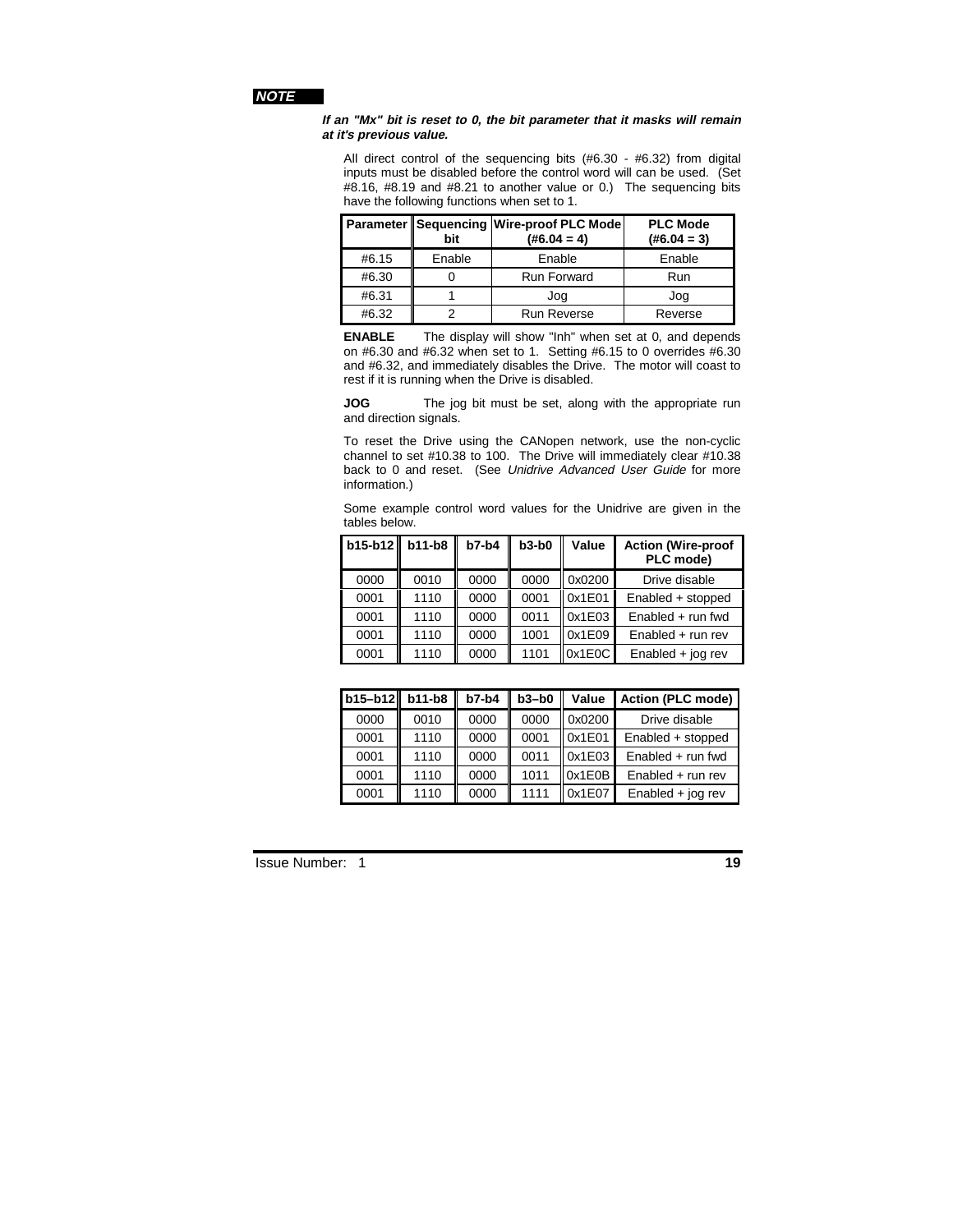#### **NOTE**

#### **If an "Mx" bit is reset to 0, the bit parameter that it masks will remain at it's previous value.**

All direct control of the sequencing bits (#6.30 - #6.32) from digital inputs must be disabled before the control word will can be used. (Set #8.16, #8.19 and #8.21 to another value or 0.) The sequencing bits have the following functions when set to 1.

|       | bit    | Parameter   Sequencing   Wire-proof PLC Mode<br>$(\#6.04 = 4)$ | <b>PLC Mode</b><br>$(\#6.04 = 3)$ |
|-------|--------|----------------------------------------------------------------|-----------------------------------|
| #6.15 | Enable | Enable                                                         | Enable                            |
| #6.30 |        | <b>Run Forward</b>                                             | Run                               |
| #6.31 |        | Jog                                                            | Jog                               |
| #6.32 |        | <b>Run Reverse</b>                                             | Reverse                           |

**ENABLE** The display will show "Inh" when set at 0, and depends on #6.30 and #6.32 when set to 1. Setting #6.15 to 0 overrides #6.30 and #6.32, and immediately disables the Drive. The motor will coast to rest if it is running when the Drive is disabled.

**JOG** The jog bit must be set, along with the appropriate run and direction signals.

To reset the Drive using the CANopen network, use the non-cyclic channel to set #10.38 to 100. The Drive will immediately clear #10.38 back to 0 and reset. (See Unidrive Advanced User Guide for more information.)

Some example control word values for the Unidrive are given in the tables below.

| b15-b12 b11-b8 |      | $b7-b4$ | $b3-b0$ | Value  | <b>Action (Wire-proof</b><br>PLC mode) |
|----------------|------|---------|---------|--------|----------------------------------------|
| 0000           | 0010 | 0000    | 0000    | 0x0200 | Drive disable                          |
| 0001           | 1110 | 0000    | 0001    | 0x1E01 | Enabled + stopped                      |
| 0001           | 1110 | 0000    | 0011    | 0x1E03 | Enabled $+$ run fwd                    |
| 0001           | 1110 | 0000    | 1001    | 0x1E09 | $Enabled + run rev$                    |
| 0001           | 1110 | 0000    | 1101    | 0x1E0C | Enabled $+$ jog rev                    |

| b15-b12 | $b11-b8$ | $b7-b4$ | $b3-b0$ | Value  | <b>Action (PLC mode)</b> |
|---------|----------|---------|---------|--------|--------------------------|
| 0000    | 0010     | 0000    | 0000    | 0x0200 | Drive disable            |
| 0001    | 1110     | 0000    | 0001    | 0x1E01 | Enabled + stopped        |
| 0001    | 1110     | 0000    | 0011    | 0x1E03 | Enabled + run fwd        |
| 0001    | 1110     | 0000    | 1011    | 0x1E0B | $Enabled + run rev$      |
| 0001    | 1110     | 0000    | 1111    | 0x1E07 | $Enabled + joq rev$      |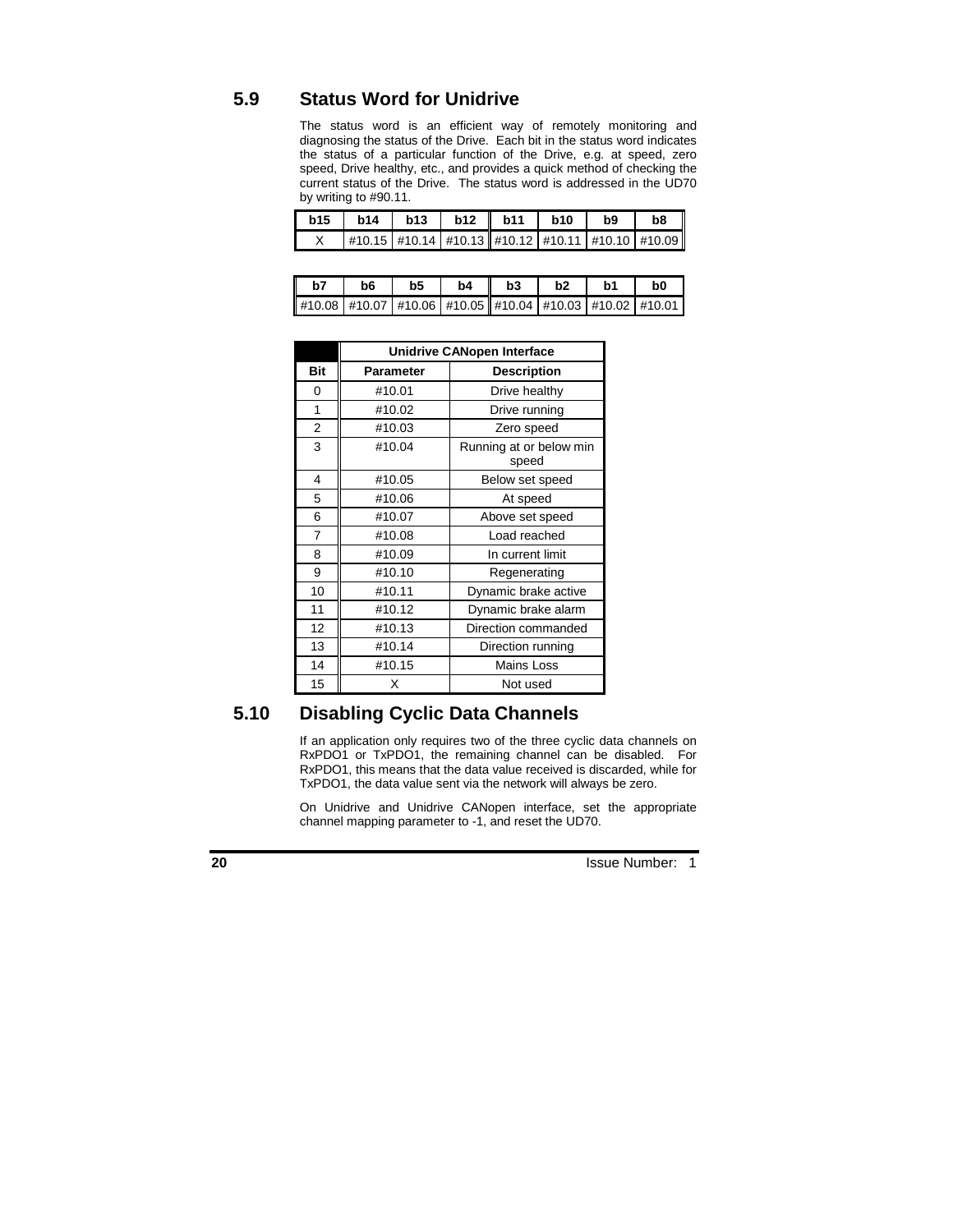# **5.9 Status Word for Unidrive**

The status word is an efficient way of remotely monitoring and diagnosing the status of the Drive. Each bit in the status word indicates the status of a particular function of the Drive, e.g. at speed, zero speed, Drive healthy, etc., and provides a quick method of checking the current status of the Drive. The status word is addressed in the UD70 by writing to #90.11.

| b15   b14   b13   b12    b11   b10   b9 |                                                                  |  |  | b8 |
|-----------------------------------------|------------------------------------------------------------------|--|--|----|
|                                         | X   #10.15   #10.14   #10.13   #10.12   #10.11   #10.10   #10.09 |  |  |    |

| $\vert$ b7 | b6   b5 |  | $b4$   $b3$                                                | b2 | <b>b1</b> | b0 |
|------------|---------|--|------------------------------------------------------------|----|-----------|----|
|            |         |  | $\#10.08$ #10.07 #10.06 #10.05 #10.04 #10.03 #10.02 #10.01 |    |           |    |

|                |           | <b>Unidrive CANopen Interface</b> |
|----------------|-----------|-----------------------------------|
| Bit            | Parameter | <b>Description</b>                |
| 0              | #10.01    | Drive healthy                     |
| 1              | #10.02    | Drive running                     |
| $\overline{2}$ | #10.03    | Zero speed                        |
| 3              | #10.04    | Running at or below min<br>speed  |
| 4              | #10.05    | Below set speed                   |
| 5              | #10.06    | At speed                          |
| 6              | #10.07    | Above set speed                   |
| $\overline{7}$ | #10.08    | Load reached                      |
| 8              | #10.09    | In current limit                  |
| 9              | #10.10    | Regenerating                      |
| 10             | #10.11    | Dynamic brake active              |
| 11             | #10.12    | Dynamic brake alarm               |
| 12             | #10.13    | Direction commanded               |
| 13             | #10.14    | Direction running                 |
| 14             | #10.15    | <b>Mains Loss</b>                 |
| 15             | X         | Not used                          |

# **5.10 Disabling Cyclic Data Channels**

If an application only requires two of the three cyclic data channels on RxPDO1 or TxPDO1, the remaining channel can be disabled. For RxPDO1, this means that the data value received is discarded, while for TxPDO1, the data value sent via the network will always be zero.

On Unidrive and Unidrive CANopen interface, set the appropriate channel mapping parameter to -1, and reset the UD70.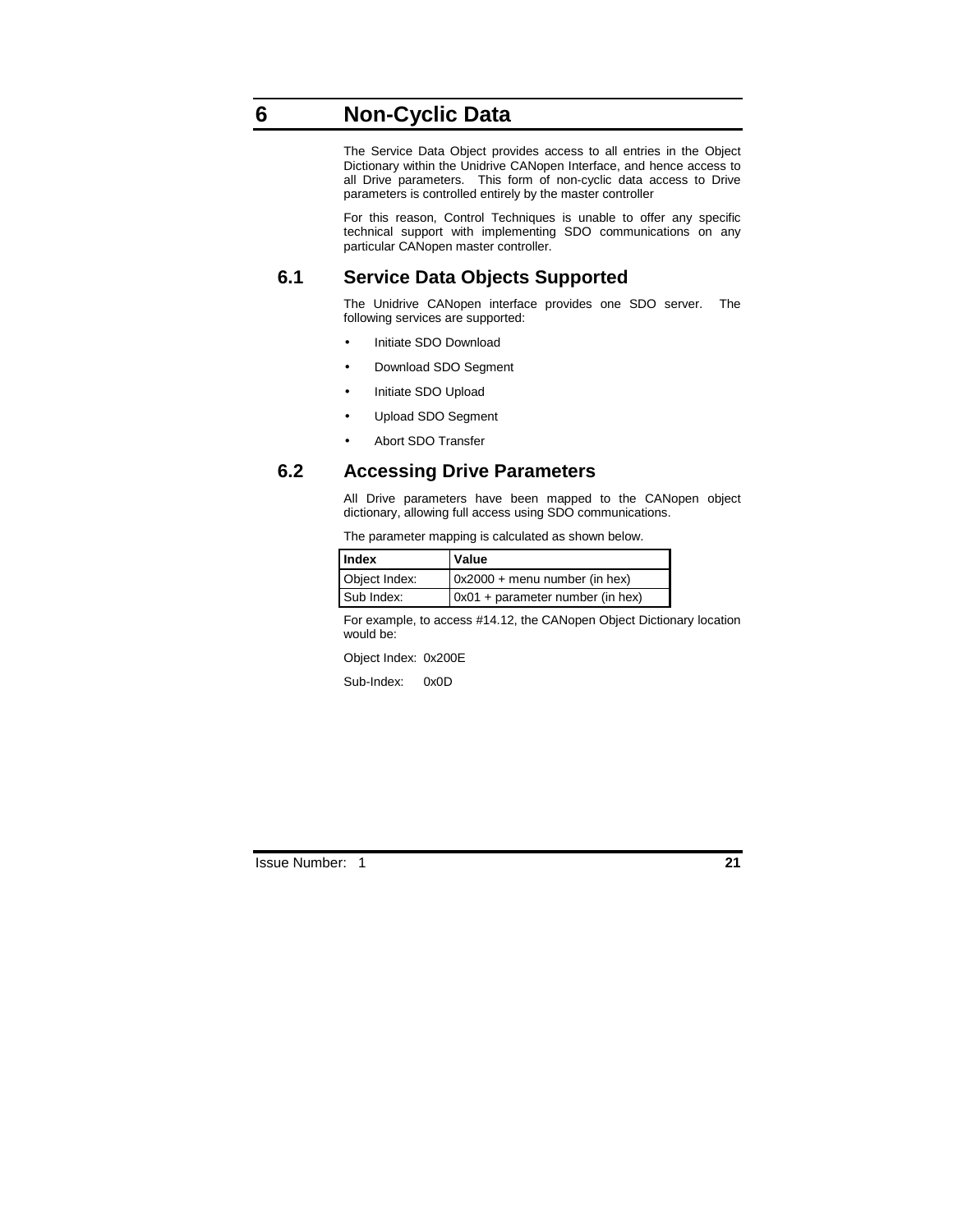# **6 Non-Cyclic Data**

The Service Data Object provides access to all entries in the Object Dictionary within the Unidrive CANopen Interface, and hence access to all Drive parameters. This form of non-cyclic data access to Drive parameters is controlled entirely by the master controller

For this reason, Control Techniques is unable to offer any specific technical support with implementing SDO communications on any particular CANopen master controller.

# **6.1 Service Data Objects Supported**

The Unidrive CANopen interface provides one SDO server. The following services are supported:

- Initiate SDO Download
- Download SDO Segment
- Initiate SDO Upload
- Upload SDO Segment
- Abort SDO Transfer

# **6.2 Accessing Drive Parameters**

All Drive parameters have been mapped to the CANopen object dictionary, allowing full access using SDO communications.

The parameter mapping is calculated as shown below.

| <b>Index</b>  | Value                                  |
|---------------|----------------------------------------|
| Object Index: | $\alpha$ 0x2000 + menu number (in hex) |
| Sub Index:    | 0x01 + parameter number (in hex)       |

For example, to access #14.12, the CANopen Object Dictionary location would be:

Object Index: 0x200E

Sub-Index: 0x0D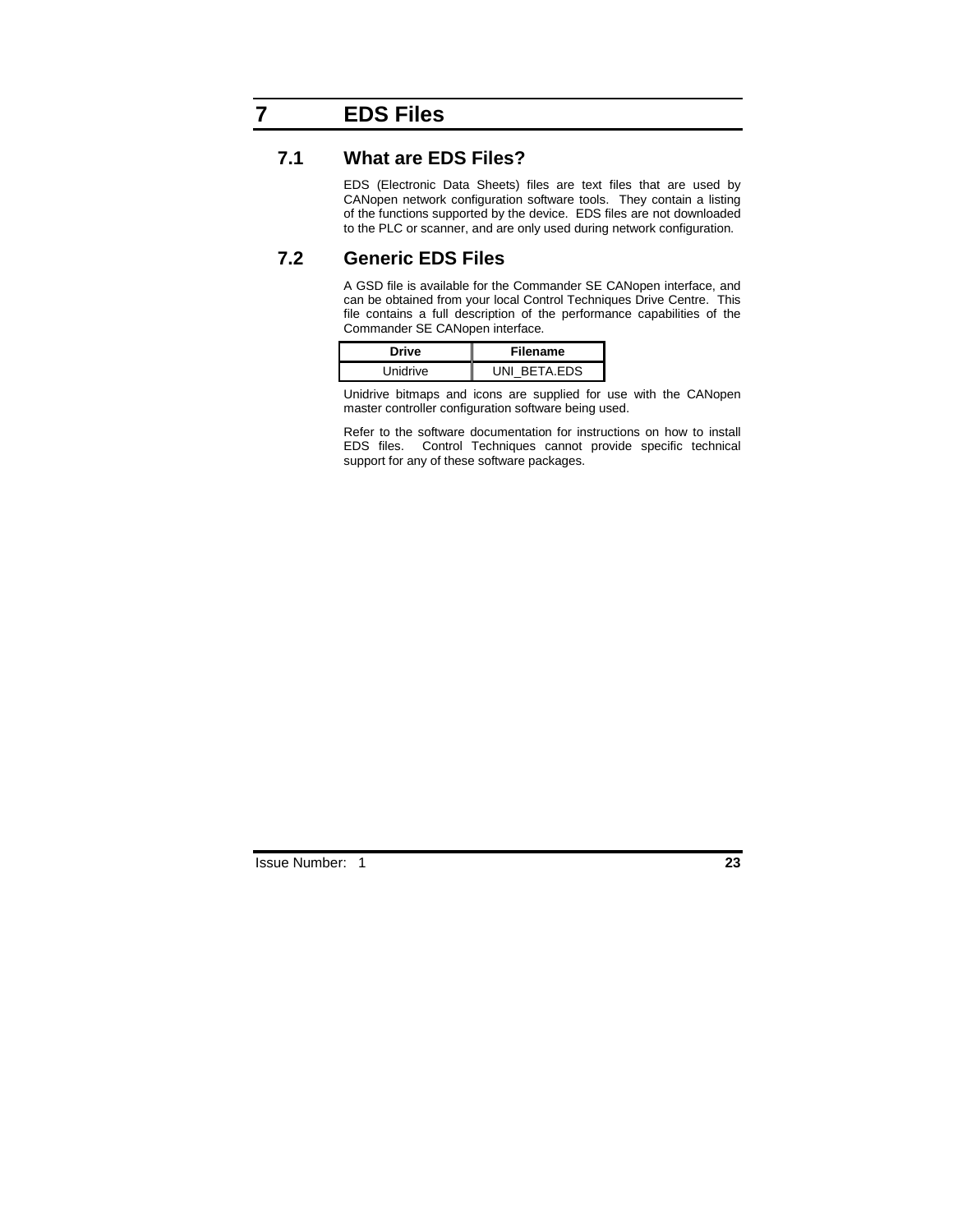# **7 EDS Files**

### **7.1 What are EDS Files?**

EDS (Electronic Data Sheets) files are text files that are used by CANopen network configuration software tools. They contain a listing of the functions supported by the device. EDS files are not downloaded to the PLC or scanner, and are only used during network configuration.

# **7.2 Generic EDS Files**

A GSD file is available for the Commander SE CANopen interface, and can be obtained from your local Control Techniques Drive Centre. This file contains a full description of the performance capabilities of the Commander SE CANopen interface.

| Drive    | Filename     |  |  |
|----------|--------------|--|--|
| Unidrive | UNI BETA.EDS |  |  |

Unidrive bitmaps and icons are supplied for use with the CANopen master controller configuration software being used.

Refer to the software documentation for instructions on how to install EDS files. Control Techniques cannot provide specific technical support for any of these software packages.

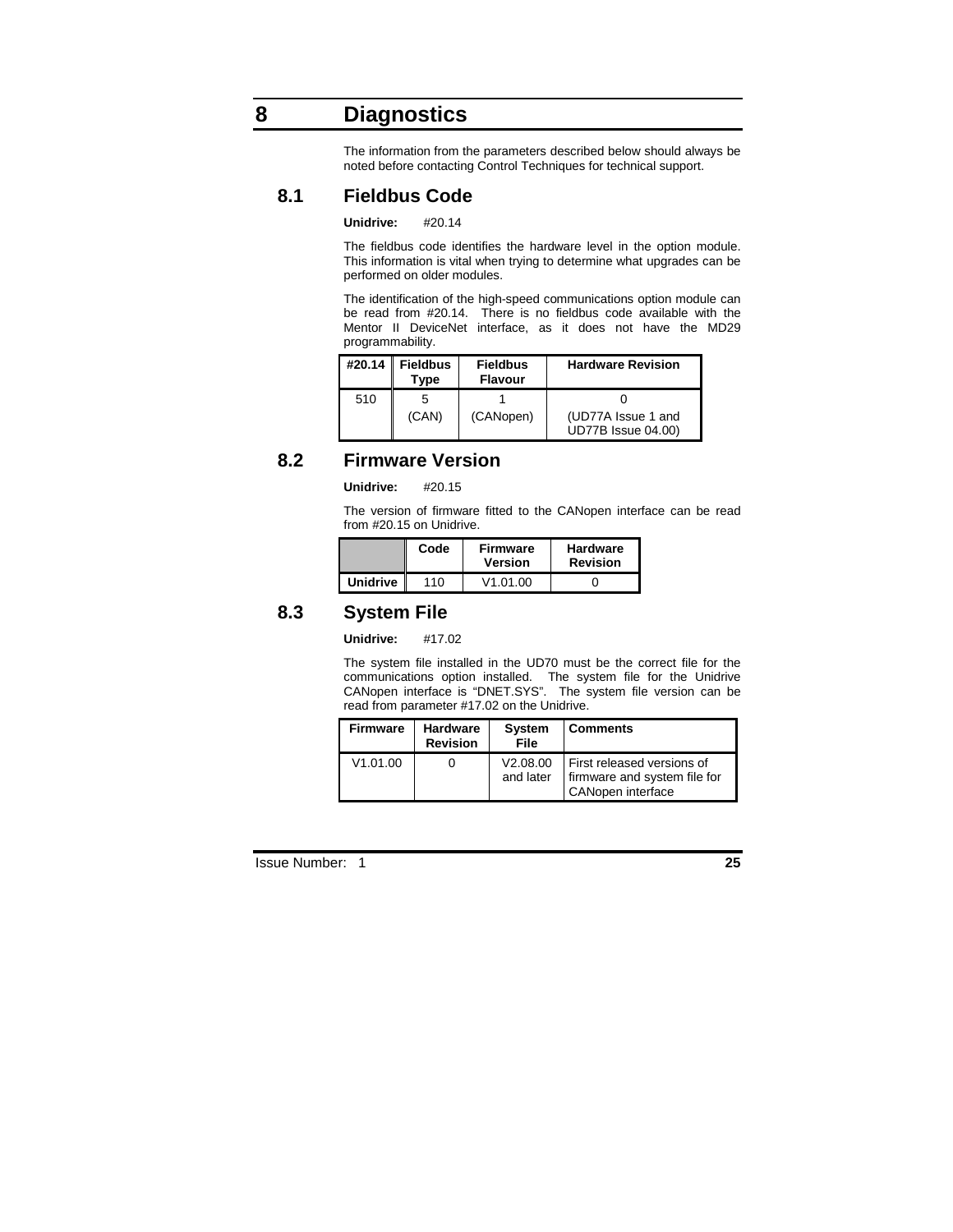# **8 Diagnostics**

The information from the parameters described below should always be noted before contacting Control Techniques for technical support.

# **8.1 Fieldbus Code**

#### **Unidrive:** #20.14

The fieldbus code identifies the hardware level in the option module. This information is vital when trying to determine what upgrades can be performed on older modules.

The identification of the high-speed communications option module can be read from #20.14. There is no fieldbus code available with the Mentor II DeviceNet interface, as it does not have the MD29 programmability.

| #20.14 ∥ | <b>Fieldbus</b><br>Tvpe | <b>Fieldbus</b><br><b>Flavour</b> | <b>Hardware Revision</b>                        |
|----------|-------------------------|-----------------------------------|-------------------------------------------------|
| 510      |                         |                                   |                                                 |
|          | (CAN)                   | (CANopen)                         | (UD77A Issue 1 and<br><b>UD77B Issue 04.00)</b> |

# **8.2 Firmware Version**

**Unidrive:** #20.15

The version of firmware fitted to the CANopen interface can be read from #20.15 on Unidrive.

|                 | Code | <b>Firmware</b><br><b>Version</b> | <b>Hardware</b><br><b>Revision</b> |
|-----------------|------|-----------------------------------|------------------------------------|
| <b>Unidrive</b> | 110  | V1.01.00                          |                                    |

# **8.3 System File**

#### **Unidrive:** #17.02

The system file installed in the UD70 must be the correct file for the communications option installed. The system file for the Unidrive CANopen interface is "DNET.SYS". The system file version can be read from parameter #17.02 on the Unidrive.

| <b>Firmware</b> | <b>Hardware</b><br><b>Revision</b> | <b>System</b><br>File | <b>Comments</b>                                                                 |
|-----------------|------------------------------------|-----------------------|---------------------------------------------------------------------------------|
| V1.01.00        |                                    | V2.08.00<br>and later | First released versions of<br>firmware and system file for<br>CANopen interface |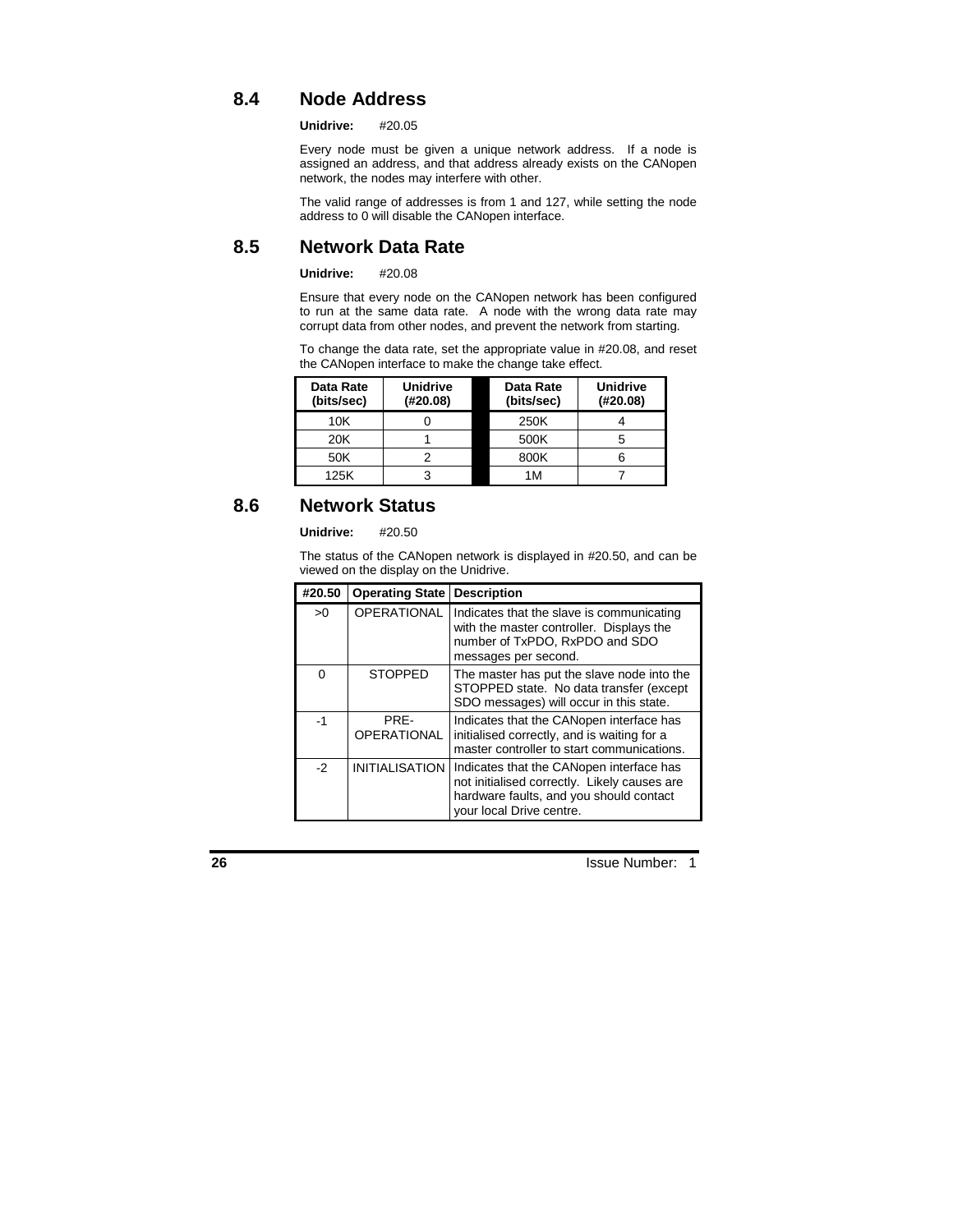# **8.4 Node Address**

**Unidrive:** #20.05

Every node must be given a unique network address. If a node is assigned an address, and that address already exists on the CANopen network, the nodes may interfere with other.

The valid range of addresses is from 1 and 127, while setting the node address to 0 will disable the CANopen interface.

# **8.5 Network Data Rate**

#### **Unidrive:** #20.08

Ensure that every node on the CANopen network has been configured to run at the same data rate. A node with the wrong data rate may corrupt data from other nodes, and prevent the network from starting.

To change the data rate, set the appropriate value in #20.08, and reset the CANopen interface to make the change take effect.

| Data Rate<br>(bits/sec) | <b>Unidrive</b><br>(H20.08) | Data Rate<br>(bits/sec) | <b>Unidrive</b><br>(H20.08) |
|-------------------------|-----------------------------|-------------------------|-----------------------------|
| 10K                     |                             | 250K                    |                             |
| 20K                     |                             | 500K                    |                             |
| 50K                     |                             | 800K                    |                             |
| 125K                    | ว                           | 1M                      |                             |

# **8.6 Network Status**

#### **Unidrive:** #20.50

The status of the CANopen network is displayed in #20.50, and can be viewed on the display on the Unidrive.

| #20.50 | <b>Operating State</b>     | <b>Description</b>                                                                                                                                              |
|--------|----------------------------|-----------------------------------------------------------------------------------------------------------------------------------------------------------------|
| >0     | <b>OPERATIONAL</b>         | Indicates that the slave is communicating<br>with the master controller. Displays the<br>number of TxPDO, RxPDO and SDO<br>messages per second.                 |
| 0      | <b>STOPPED</b>             | The master has put the slave node into the<br>STOPPED state. No data transfer (except<br>SDO messages) will occur in this state.                                |
| -1     | PRE-<br><b>OPERATIONAL</b> | Indicates that the CANopen interface has<br>initialised correctly, and is waiting for a<br>master controller to start communications.                           |
| $-2$   | <b>INITIALISATION</b>      | Indicates that the CANopen interface has<br>not initialised correctly. Likely causes are<br>hardware faults, and you should contact<br>your local Drive centre. |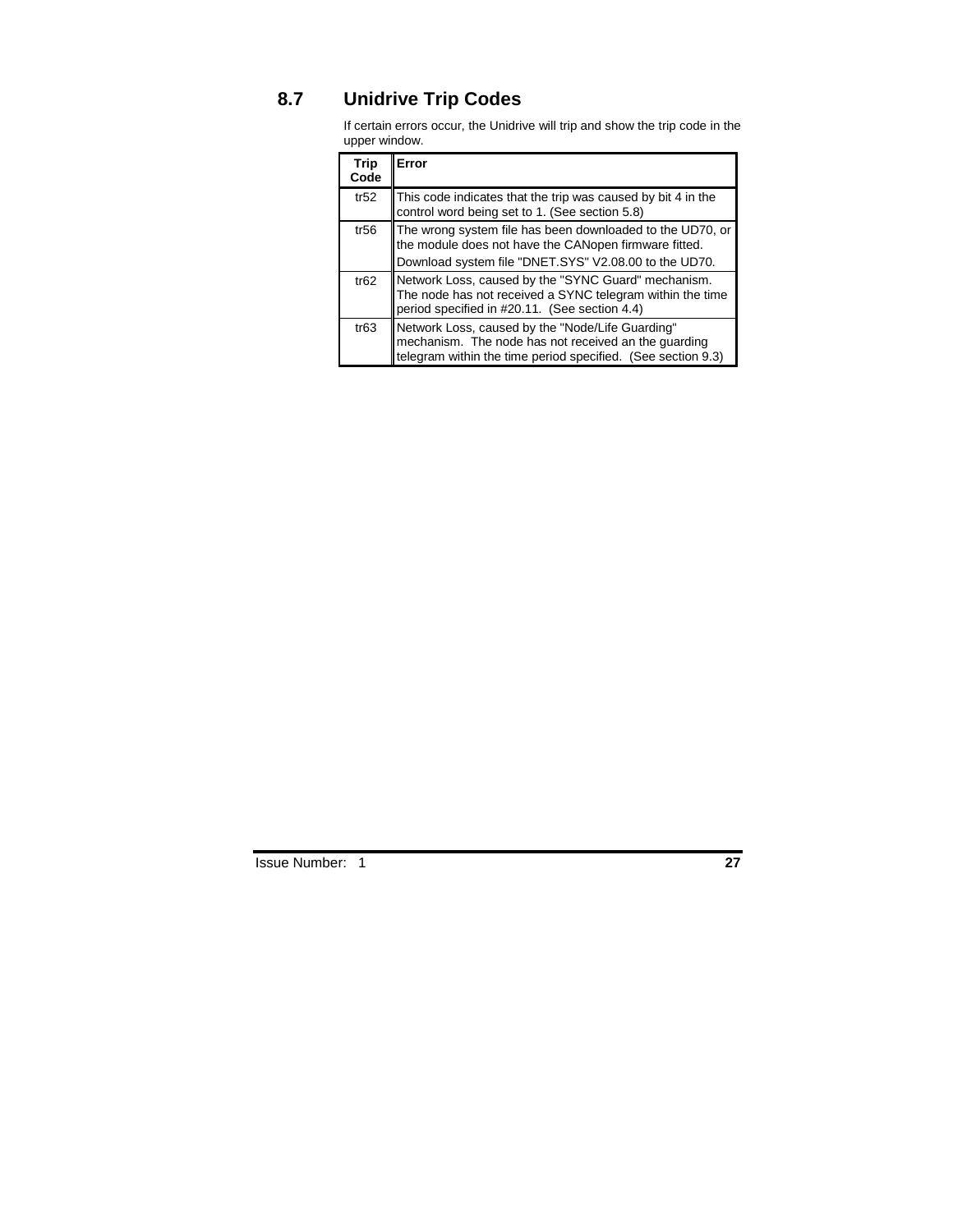# **8.7 Unidrive Trip Codes**

If certain errors occur, the Unidrive will trip and show the trip code in the upper window.

| <b>Trip</b><br>Code | Error                                                                                                                                                                       |
|---------------------|-----------------------------------------------------------------------------------------------------------------------------------------------------------------------------|
| tr52                | This code indicates that the trip was caused by bit 4 in the<br>control word being set to 1. (See section 5.8)                                                              |
| tr56                | The wrong system file has been downloaded to the UD70, or<br>the module does not have the CANopen firmware fitted.<br>Download system file "DNET.SYS" V2.08.00 to the UD70. |
| tr62                | Network Loss, caused by the "SYNC Guard" mechanism.<br>The node has not received a SYNC telegram within the time<br>period specified in #20.11. (See section 4.4)           |
| tr63                | Network Loss, caused by the "Node/Life Guarding"<br>mechanism. The node has not received an the guarding<br>telegram within the time period specified. (See section 9.3)    |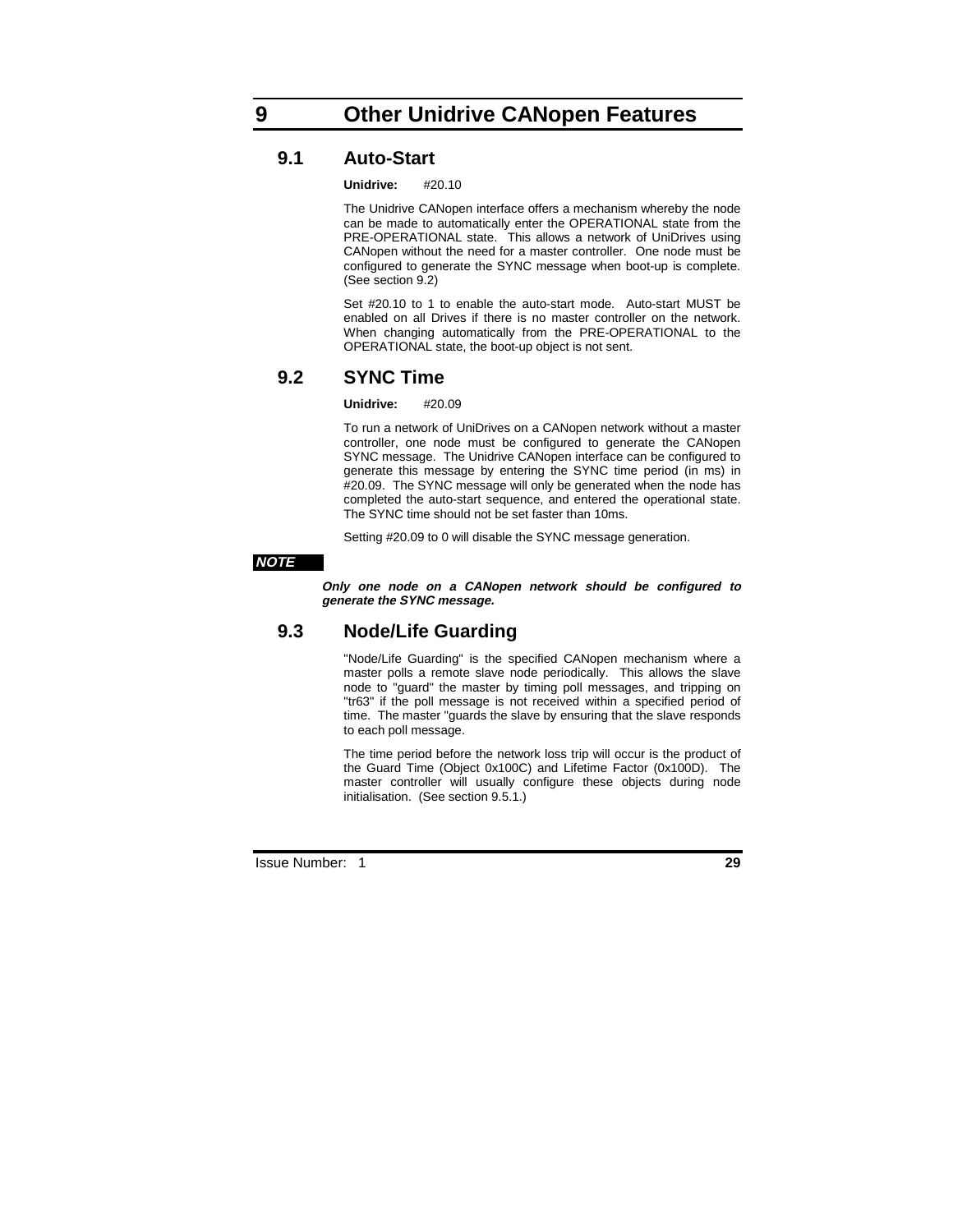# **9.1 Auto-Start**

**Unidrive:** #20.10

The Unidrive CANopen interface offers a mechanism whereby the node can be made to automatically enter the OPERATIONAL state from the PRE-OPERATIONAL state. This allows a network of UniDrives using CANopen without the need for a master controller. One node must be configured to generate the SYNC message when boot-up is complete. (See section 9.2)

Set #20.10 to 1 to enable the auto-start mode. Auto-start MUST be enabled on all Drives if there is no master controller on the network. When changing automatically from the PRE-OPERATIONAL to the OPERATIONAL state, the boot-up object is not sent.

# **9.2 SYNC Time**

#### **Unidrive:** #20.09

To run a network of UniDrives on a CANopen network without a master controller, one node must be configured to generate the CANopen SYNC message. The Unidrive CANopen interface can be configured to generate this message by entering the SYNC time period (in ms) in #20.09. The SYNC message will only be generated when the node has completed the auto-start sequence, and entered the operational state. The SYNC time should not be set faster than 10ms.

Setting #20.09 to 0 will disable the SYNC message generation.

#### **NOTE**

**Only one node on a CANopen network should be configured to generate the SYNC message.**

### **9.3 Node/Life Guarding**

"Node/Life Guarding" is the specified CANopen mechanism where a master polls a remote slave node periodically. This allows the slave node to "guard" the master by timing poll messages, and tripping on "tr63" if the poll message is not received within a specified period of time. The master "guards the slave by ensuring that the slave responds to each poll message.

The time period before the network loss trip will occur is the product of the Guard Time (Object 0x100C) and Lifetime Factor (0x100D). The master controller will usually configure these objects during node initialisation. (See section 9.5.1.)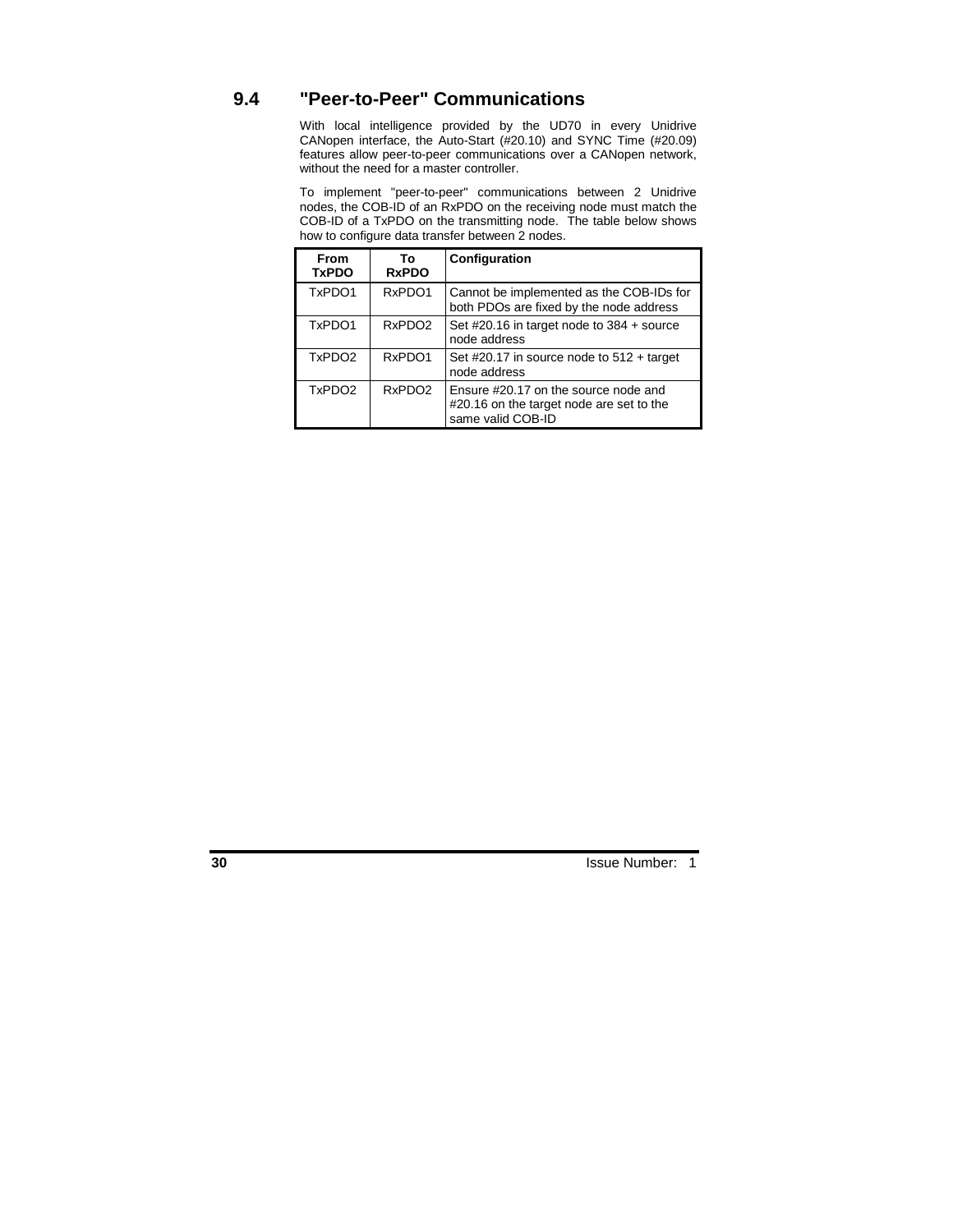# **9.4 "Peer-to-Peer" Communications**

With local intelligence provided by the UD70 in every Unidrive CANopen interface, the Auto-Start (#20.10) and SYNC Time (#20.09) features allow peer-to-peer communications over a CANopen network, without the need for a master controller.

To implement "peer-to-peer" communications between 2 Unidrive nodes, the COB-ID of an RxPDO on the receiving node must match the COB-ID of a TxPDO on the transmitting node. The table below shows how to configure data transfer between 2 nodes.

| <b>From</b><br><b>TxPDO</b> | Тο<br><b>RxPDO</b> | Configuration                                                                                         |
|-----------------------------|--------------------|-------------------------------------------------------------------------------------------------------|
| TxPDO1                      | RxPDO1             | Cannot be implemented as the COB-IDs for<br>both PDOs are fixed by the node address                   |
| TxPDO1                      | RxPDO <sub>2</sub> | Set #20.16 in target node to $384 +$ source<br>node address                                           |
| TxPDO <sub>2</sub>          | RxPDO1             | Set #20.17 in source node to $512 + \text{target}$<br>node address                                    |
| TxPDO <sub>2</sub>          | RxPDO <sub>2</sub> | Ensure #20.17 on the source node and<br>#20.16 on the target node are set to the<br>same valid COB-ID |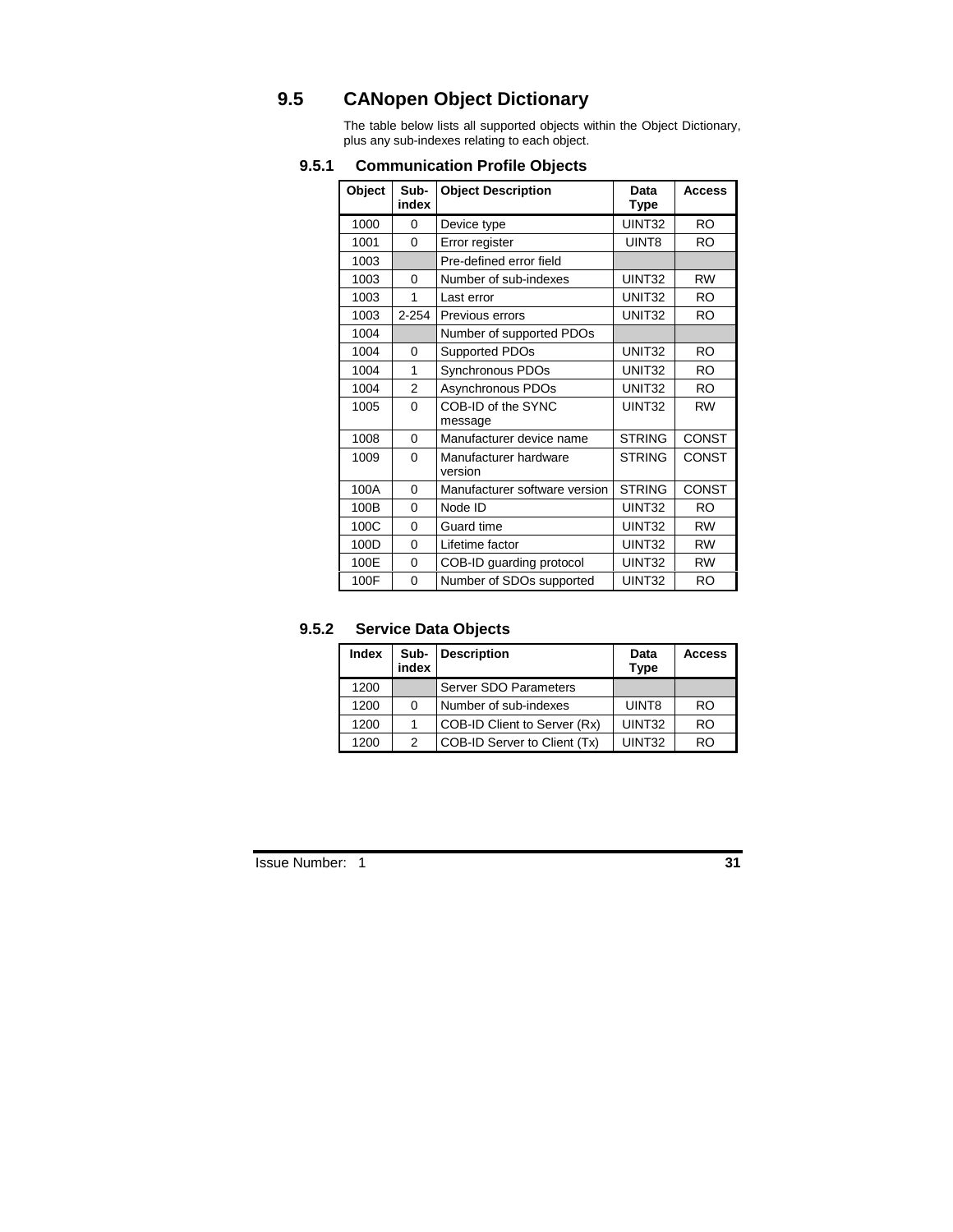# **9.5 CANopen Object Dictionary**

The table below lists all supported objects within the Object Dictionary, plus any sub-indexes relating to each object.

| Object | Sub-<br>index | <b>Object Description</b>           | Data<br><b>Type</b> | <b>Access</b> |
|--------|---------------|-------------------------------------|---------------------|---------------|
| 1000   | $\Omega$      | Device type                         | UINT32              | <b>RO</b>     |
| 1001   | 0             | Error register                      | UINT8               | <b>RO</b>     |
| 1003   |               | Pre-defined error field             |                     |               |
| 1003   | $\Omega$      | Number of sub-indexes               | UINT32              | <b>RW</b>     |
| 1003   | 1             | Last error                          | UNIT <sub>32</sub>  | <b>RO</b>     |
| 1003   | $2 - 254$     | Previous errors                     | UNIT <sub>32</sub>  | <b>RO</b>     |
| 1004   |               | Number of supported PDOs            |                     |               |
| 1004   | $\Omega$      | Supported PDOs                      | UNIT <sub>32</sub>  | <b>RO</b>     |
| 1004   | 1             | Synchronous PDOs                    | UNIT <sub>32</sub>  | <b>RO</b>     |
| 1004   | 2             | Asynchronous PDOs                   | UNIT <sub>32</sub>  | <b>RO</b>     |
| 1005   | $\Omega$      | COB-ID of the SYNC                  | UINT32              | <b>RW</b>     |
| 1008   | 0             | message<br>Manufacturer device name | <b>STRING</b>       | CONST         |
| 1009   | $\Omega$      | Manufacturer hardware<br>version    | <b>STRING</b>       | CONST         |
| 100A   | 0             | Manufacturer software version       | <b>STRING</b>       | CONST         |
| 100B   | $\Omega$      | Node ID                             | UINT32              | RO.           |
| 100C   | $\Omega$      | Guard time                          | UINT32              | <b>RW</b>     |
| 100D   | $\Omega$      | Lifetime factor                     | UINT32              | <b>RW</b>     |
| 100E   | 0             | COB-ID guarding protocol            | UINT32              | <b>RW</b>     |
| 100F   | $\Omega$      | Number of SDOs supported            | UINT32              | <b>RO</b>     |

### **9.5.1 Communication Profile Objects**

### **9.5.2 Service Data Objects**

| Index | Sub-<br>index | <b>Description</b>           | Data<br>Type | <b>Access</b> |
|-------|---------------|------------------------------|--------------|---------------|
| 1200  |               | Server SDO Parameters        |              |               |
| 1200  | 0             | Number of sub-indexes        | UINT8        | <b>RO</b>     |
| 1200  |               | COB-ID Client to Server (Rx) | UINT32       | <b>RO</b>     |
| 1200  | 2             | COB-ID Server to Client (Tx) | UINT32       | RN            |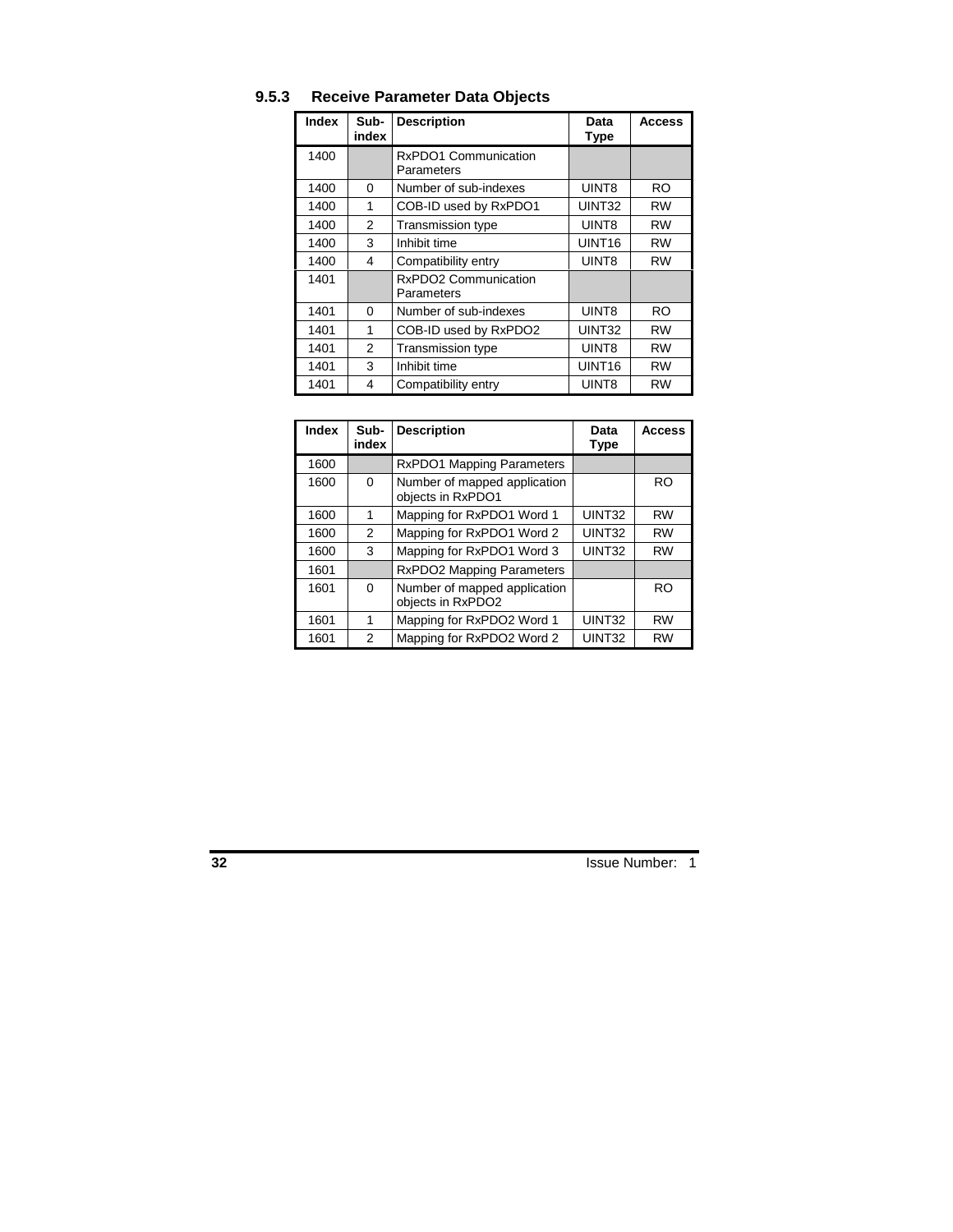| <b>Index</b> | Sub-<br>index | <b>Description</b>                 | Data<br><b>Type</b> | <b>Access</b> |
|--------------|---------------|------------------------------------|---------------------|---------------|
| 1400         |               | RxPDO1 Communication<br>Parameters |                     |               |
| 1400         | 0             | Number of sub-indexes              | UINT8               | <b>RO</b>     |
| 1400         | 1             | COB-ID used by RxPDO1              | UINT32              | <b>RW</b>     |
| 1400         | 2             | <b>Transmission type</b>           | UINT8               | <b>RW</b>     |
| 1400         | 3             | Inhibit time                       | UINT <sub>16</sub>  | <b>RW</b>     |
| 1400         | 4             | Compatibility entry                | UINT8               | <b>RW</b>     |
| 1401         |               | RxPDO2 Communication<br>Parameters |                     |               |
| 1401         | $\Omega$      | Number of sub-indexes              | UINT8               | RO            |
| 1401         | 1             | COB-ID used by RxPDO2              | UINT32              | <b>RW</b>     |
| 1401         | 2             | Transmission type                  | UINT8               | <b>RW</b>     |
| 1401         | 3             | Inhibit time                       | UINT <sub>16</sub>  | <b>RW</b>     |
| 1401         | 4             | Compatibility entry                | UINT8               | <b>RW</b>     |

# **9.5.3 Receive Parameter Data Objects**

| <b>Index</b> | Sub-<br>index | <b>Description</b>                                | Data<br>Type | <b>Access</b> |
|--------------|---------------|---------------------------------------------------|--------------|---------------|
| 1600         |               | RxPDO1 Mapping Parameters                         |              |               |
| 1600         | 0             | Number of mapped application<br>objects in RxPDO1 |              | <b>RO</b>     |
| 1600         | 1             | Mapping for RxPDO1 Word 1                         | UINT32       | <b>RW</b>     |
| 1600         | 2             | Mapping for RxPDO1 Word 2                         | UINT32       | <b>RW</b>     |
| 1600         | 3             | Mapping for RxPDO1 Word 3                         | UINT32       | <b>RW</b>     |
| 1601         |               | <b>RxPDO2 Mapping Parameters</b>                  |              |               |
| 1601         | 0             | Number of mapped application<br>objects in RxPDO2 |              | RO            |
| 1601         | 1             | Mapping for RxPDO2 Word 1                         | UINT32       | <b>RW</b>     |
| 1601         | 2             | Mapping for RxPDO2 Word 2                         | UINT32       | <b>RW</b>     |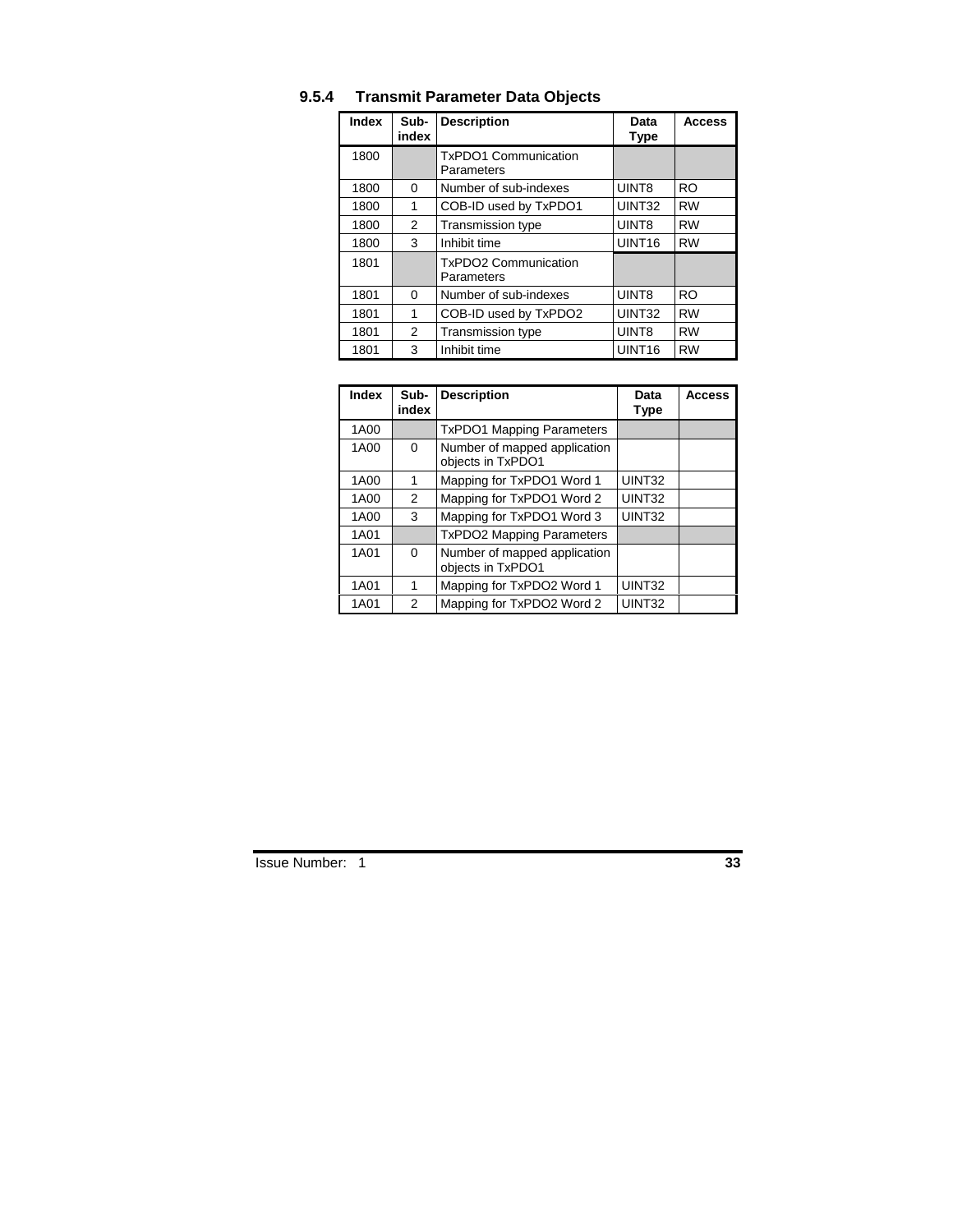| Index | Sub-<br>index | <b>Description</b>                        | Data<br><b>Type</b> | <b>Access</b> |
|-------|---------------|-------------------------------------------|---------------------|---------------|
| 1800  |               | <b>TxPDO1 Communication</b><br>Parameters |                     |               |
| 1800  | $\Omega$      | Number of sub-indexes                     | UINT8               | <b>RO</b>     |
| 1800  | 1             | COB-ID used by TxPDO1                     | UINT32              | <b>RW</b>     |
| 1800  | 2             | <b>Transmission type</b>                  | UINT8               | <b>RW</b>     |
| 1800  | 3             | Inhibit time                              | UINT <sub>16</sub>  | <b>RW</b>     |
| 1801  |               | <b>TxPDO2 Communication</b><br>Parameters |                     |               |
| 1801  | $\Omega$      | Number of sub-indexes                     | UINT8               | <b>RO</b>     |
| 1801  | 1             | COB-ID used by TxPDO2                     | UINT32              | <b>RW</b>     |
| 1801  | 2             | Transmission type                         | UINT8               | <b>RW</b>     |
| 1801  | 3             | Inhibit time                              | UINT <sub>16</sub>  | <b>RW</b>     |

# **9.5.4 Transmit Parameter Data Objects**

| <b>Index</b> | Sub-<br>index | <b>Description</b>                                | Data<br>Type | <b>Access</b> |
|--------------|---------------|---------------------------------------------------|--------------|---------------|
| 1A00         |               | <b>TxPDO1 Mapping Parameters</b>                  |              |               |
| 1A00         | 0             | Number of mapped application<br>objects in TxPDO1 |              |               |
| 1A00         | 1             | Mapping for TxPDO1 Word 1                         | UINT32       |               |
| 1A00         | 2             | Mapping for TxPDO1 Word 2                         | UINT32       |               |
| 1A00         | 3             | Mapping for TxPDO1 Word 3                         | UINT32       |               |
| 1A01         |               | <b>TxPDO2 Mapping Parameters</b>                  |              |               |
| 1A01         | 0             | Number of mapped application<br>objects in TxPDO1 |              |               |
| 1A01         | 1             | Mapping for TxPDO2 Word 1                         | UINT32       |               |
| 1A01         | 2             | Mapping for TxPDO2 Word 2                         | UINT32       |               |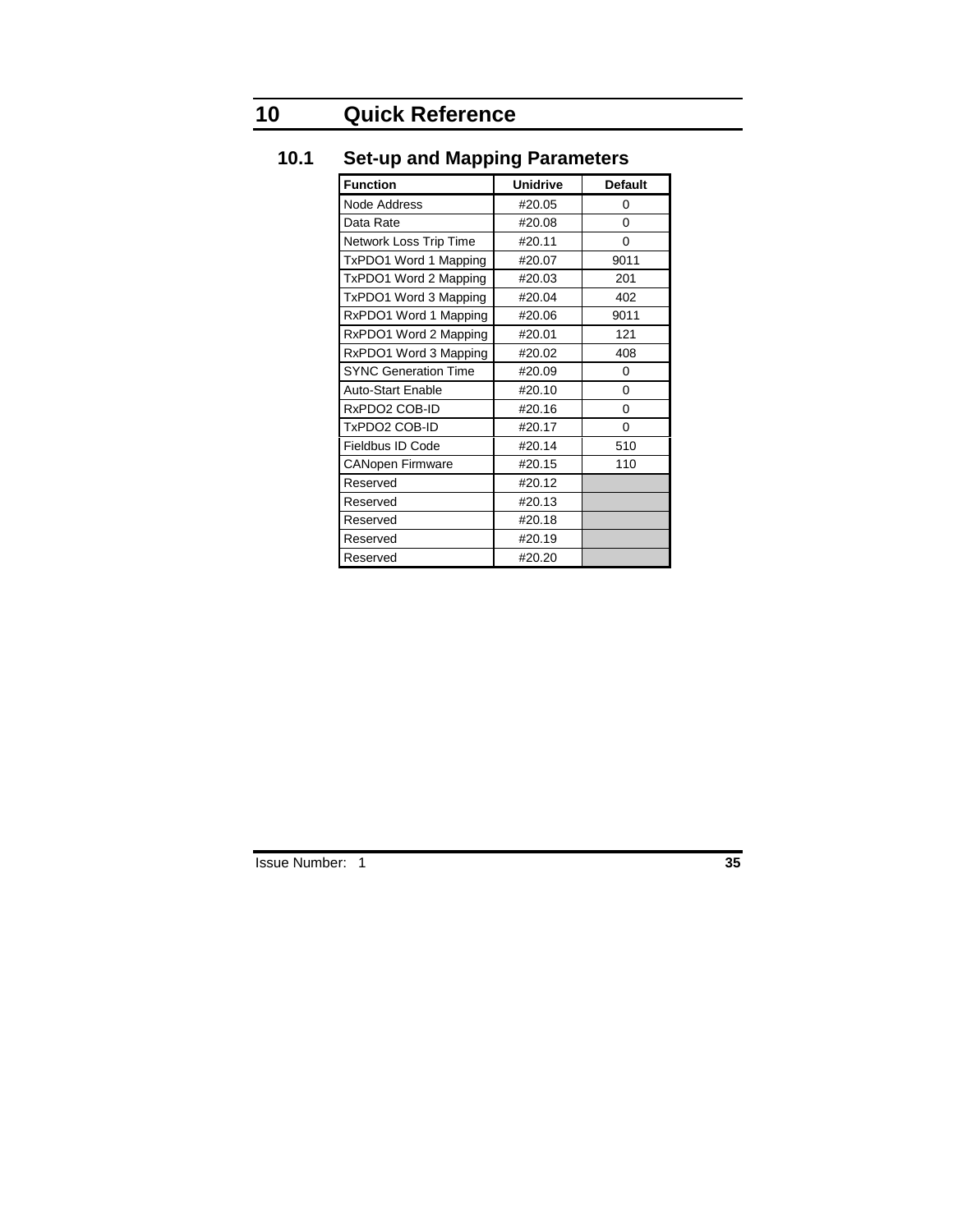# **10 Quick Reference**

| <b>Function</b>             | <b>Unidrive</b> | <b>Default</b> |
|-----------------------------|-----------------|----------------|
| Node Address                | #20.05          | 0              |
| Data Rate                   | #20.08          | 0              |
| Network Loss Trip Time      | #20.11          | 0              |
| TxPDO1 Word 1 Mapping       | #20.07          | 9011           |
| TxPDO1 Word 2 Mapping       | #20.03          | 201            |
| TxPDO1 Word 3 Mapping       | #20.04          | 402            |
| RxPDO1 Word 1 Mapping       | #20.06          | 9011           |
| RxPDO1 Word 2 Mapping       | #20.01          | 121            |
| RxPDO1 Word 3 Mapping       | #20.02          | 408            |
| <b>SYNC Generation Time</b> | #20.09          | 0              |
| <b>Auto-Start Enable</b>    | #20.10          | 0              |
| RxPDO2 COB-ID               | #20.16          | 0              |
| TxPDO2 COB-ID               | #20.17          | $\Omega$       |
| Fieldbus ID Code            | #20.14          | 510            |
| <b>CANopen Firmware</b>     | #20.15          | 110            |
| Reserved                    | #20.12          |                |
| Reserved                    | #20.13          |                |
| Reserved                    | #20.18          |                |
| Reserved                    | #20.19          |                |
| Reserved                    | #20.20          |                |

# **10.1 Set-up and Mapping Parameters**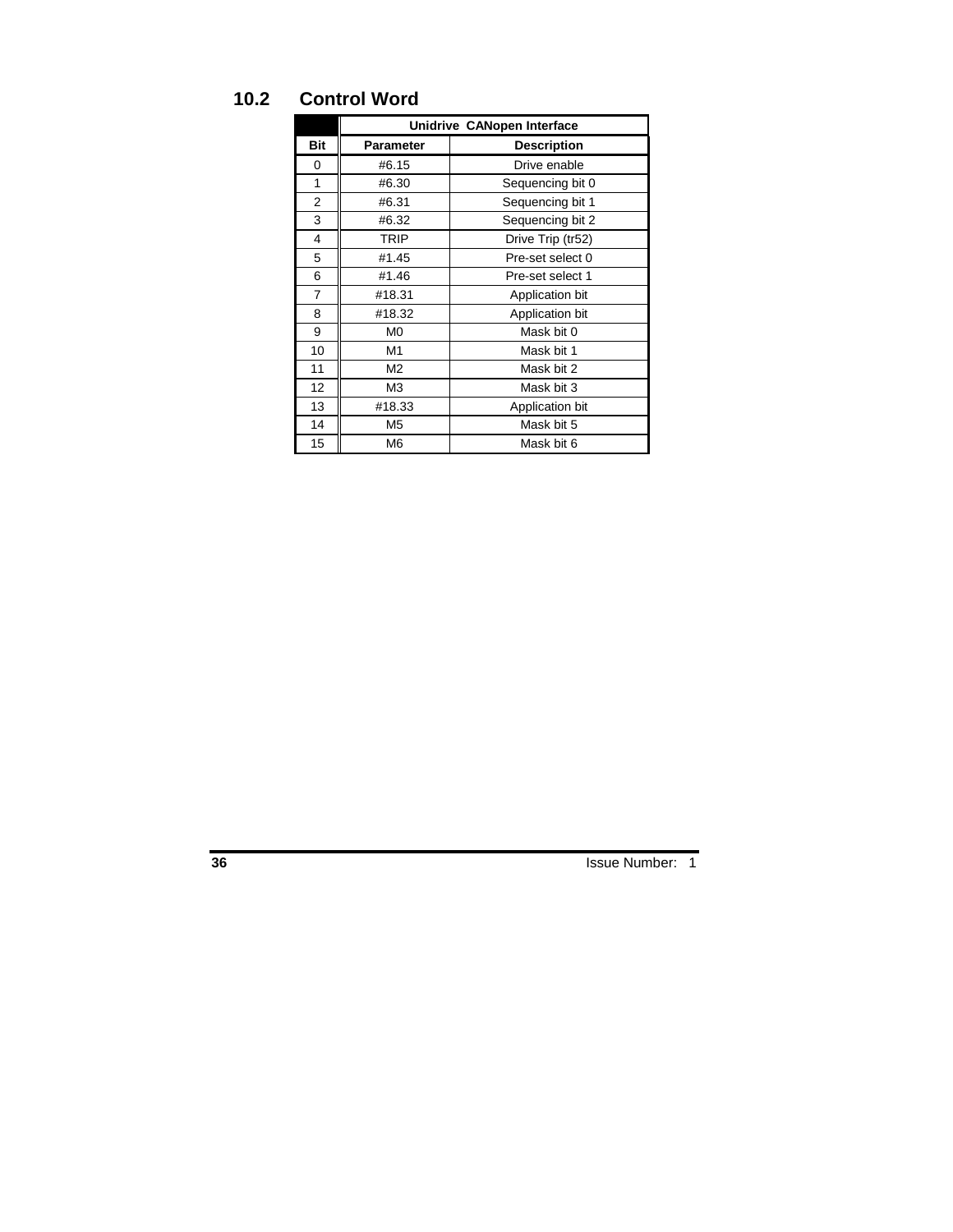# **10.2 Control Word**

|     | Unidrive CANopen Interface |                    |  |
|-----|----------------------------|--------------------|--|
| Bit | <b>Parameter</b>           | <b>Description</b> |  |
| 0   | #6.15                      | Drive enable       |  |
| 1   | #6.30                      | Sequencing bit 0   |  |
| 2   | #6.31                      | Sequencing bit 1   |  |
| 3   | #6.32                      | Sequencing bit 2   |  |
| 4   | <b>TRIP</b>                | Drive Trip (tr52)  |  |
| 5   | #1.45                      | Pre-set select 0   |  |
| 6   | #1.46                      | Pre-set select 1   |  |
| 7   | #18.31                     | Application bit    |  |
| 8   | #18.32                     | Application bit    |  |
| 9   | M <sub>0</sub>             | Mask bit 0         |  |
| 10  | M1                         | Mask bit 1         |  |
| 11  | M <sub>2</sub>             | Mask bit 2         |  |
| 12  | MЗ                         | Mask bit 3         |  |
| 13  | #18.33                     | Application bit    |  |
| 14  | M5                         | Mask bit 5         |  |
| 15  | M6                         | Mask bit 6         |  |